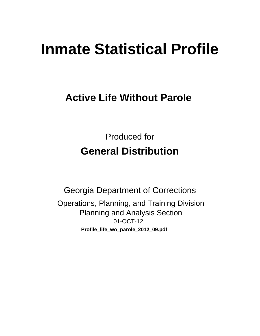# **Inmate Statistical Profile**

## **Active Life Without Parole**

**Produced for General Distribution** 

**Georgia Department of Corrections** Operations, Planning, and Training Division **Planning and Analysis Section** 01-OCT-12 Profile\_life\_wo\_parole\_2012\_09.pdf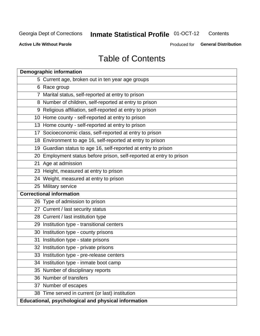#### **Inmate Statistical Profile 01-OCT-12** Contents

**Active Life Without Parole** 

Produced for General Distribution

## **Table of Contents**

| <b>Demographic information</b>                                       |
|----------------------------------------------------------------------|
| 5 Current age, broken out in ten year age groups                     |
| 6 Race group                                                         |
| 7 Marital status, self-reported at entry to prison                   |
| 8 Number of children, self-reported at entry to prison               |
| 9 Religious affiliation, self-reported at entry to prison            |
| 10 Home county - self-reported at entry to prison                    |
| 13 Home county - self-reported at entry to prison                    |
| 17 Socioeconomic class, self-reported at entry to prison             |
| 18 Environment to age 16, self-reported at entry to prison           |
| 19 Guardian status to age 16, self-reported at entry to prison       |
| 20 Employment status before prison, self-reported at entry to prison |
| 21 Age at admission                                                  |
| 23 Height, measured at entry to prison                               |
| 24 Weight, measured at entry to prison                               |
| 25 Military service                                                  |
| <b>Correctional information</b>                                      |
| 26 Type of admission to prison                                       |
| 27 Current / last security status                                    |
| 28 Current / last institution type                                   |
| 29 Institution type - transitional centers                           |
| 30 Institution type - county prisons                                 |
| 31 Institution type - state prisons                                  |
| 32 Institution type - private prisons                                |
| 33 Institution type - pre-release centers                            |
| 34 Institution type - inmate boot camp                               |
| 35 Number of disciplinary reports                                    |
| 36 Number of transfers                                               |
| 37 Number of escapes                                                 |
| 38 Time served in current (or last) institution                      |
| Educational, psychological and physical information                  |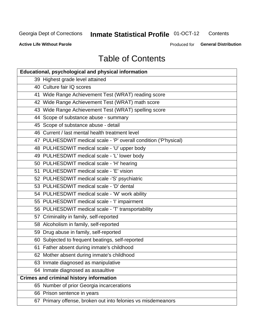#### **Inmate Statistical Profile 01-OCT-12** Contents

**Active Life Without Parole** 

Produced for General Distribution

## **Table of Contents**

| <b>Educational, psychological and physical information</b>       |
|------------------------------------------------------------------|
| 39 Highest grade level attained                                  |
| 40 Culture fair IQ scores                                        |
| 41 Wide Range Achievement Test (WRAT) reading score              |
| 42 Wide Range Achievement Test (WRAT) math score                 |
| 43 Wide Range Achievement Test (WRAT) spelling score             |
| 44 Scope of substance abuse - summary                            |
| 45 Scope of substance abuse - detail                             |
| 46 Current / last mental health treatment level                  |
| 47 PULHESDWIT medical scale - 'P' overall condition ('P'hysical) |
| 48 PULHESDWIT medical scale - 'U' upper body                     |
| 49 PULHESDWIT medical scale - 'L' lower body                     |
| 50 PULHESDWIT medical scale - 'H' hearing                        |
| 51 PULHESDWIT medical scale - 'E' vision                         |
| 52 PULHESDWIT medical scale -'S' psychiatric                     |
| 53 PULHESDWIT medical scale - 'D' dental                         |
| 54 PULHESDWIT medical scale - 'W' work ability                   |
| 55 PULHESDWIT medical scale - 'I' impairment                     |
| 56 PULHESDWIT medical scale - 'T' transportability               |
| 57 Criminality in family, self-reported                          |
| 58 Alcoholism in family, self-reported                           |
| 59 Drug abuse in family, self-reported                           |
| 60 Subjected to frequent beatings, self-reported                 |
| 61 Father absent during inmate's childhood                       |
| 62 Mother absent during inmate's childhood                       |
| 63 Inmate diagnosed as manipulative                              |
| 64 Inmate diagnosed as assaultive                                |
| <b>Crimes and criminal history information</b>                   |
| 65 Number of prior Georgia incarcerations                        |
| 66 Prison sentence in years                                      |
| 67 Primary offense, broken out into felonies vs misdemeanors     |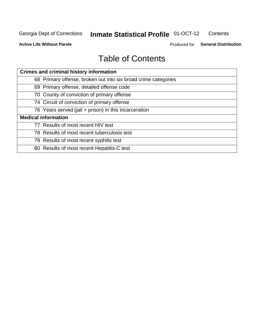#### **Inmate Statistical Profile 01-OCT-12** Contents

**Active Life Without Parole** 

Produced for General Distribution

## **Table of Contents**

| <b>Crimes and criminal history information</b>                 |
|----------------------------------------------------------------|
| 68 Primary offense, broken out into six broad crime categories |
| 69 Primary offense, detailed offense code                      |
| 70 County of conviction of primary offense                     |
| 74 Circuit of conviction of primary offense                    |
| 76 Years served (jail + prison) in this incarceration          |
| <b>Medical information</b>                                     |
| 77 Results of most recent HIV test                             |
| 78 Results of most recent tuberculosis test                    |
| 79 Results of most recent syphilis test                        |
| 80 Results of most recent Hepatitis-C test                     |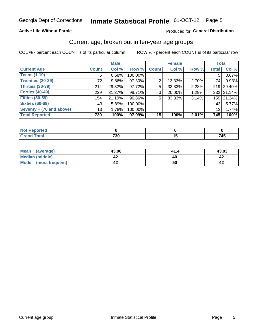#### Inmate Statistical Profile 01-OCT-12 Page 5

### **Active Life Without Parole**

### Produced for General Distribution

## Current age, broken out in ten-year age groups

COL % - percent each COUNT is of its particular column

|                          |                 | <b>Male</b> |         |                 | <b>Female</b> |       | <b>Total</b> |            |
|--------------------------|-----------------|-------------|---------|-----------------|---------------|-------|--------------|------------|
| <b>Current Age</b>       | <b>Count</b>    | Col %       | Row %   | <b>Count</b>    | Col %         | Row % | <b>Total</b> | Col %      |
| <b>Teens (1-19)</b>      | 5 <sup>1</sup>  | 0.68%       | 100.00% |                 |               |       | 5.           | 0.67%      |
| <b>Twenties (20-29)</b>  | 72 <sub>1</sub> | $9.86\%$    | 97.30%  | 2               | 13.33%        | 2.70% | 74           | 9.93%      |
| Thirties (30-39)         | 214             | 29.32%      | 97.72%  | 5               | 33.33%        | 2.28% |              | 219 29.40% |
| <b>Forties (40-49)</b>   | 229             | $31.37\%$   | 98.71%  | 3               | 20.00%        | 1.29% |              | 232 31.14% |
| <b>Fifties (50-59)</b>   | 154             | 21.10%      | 96.86%  | 5               | 33.33%        | 3.14% |              | 159 21.34% |
| <b>Sixties (60-69)</b>   | 43              | 5.89%       | 100.00% |                 |               |       | 43           | 5.77%      |
| Seventy + (70 and above) | 13              | 1.78%       | 100.00% |                 |               |       | 13           | 1.74%      |
| <b>Total Reported</b>    | 730             | 100%        | 97.99%  | 15 <sup>1</sup> | 100%          | 2.01% | 745          | 100%       |

| ______ | 700<br>.JU | $\sim$ | - - -<br>, TJ |
|--------|------------|--------|---------------|

| Mean<br>(average)    | 43.06 | 41.4 | 43.03 |
|----------------------|-------|------|-------|
| Median (middle)      |       |      |       |
| Mode (most frequent) |       | 50   |       |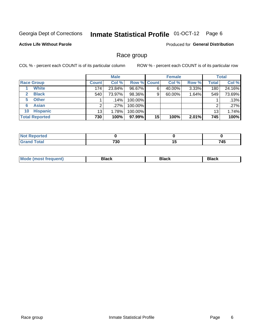#### **Inmate Statistical Profile 01-OCT-12** Page 6

### **Active Life Without Parole**

**Produced for General Distribution** 

## Race group

COL % - percent each COUNT is of its particular column

|                       |              | <b>Male</b> |                    |    | <b>Female</b> |       |       | <b>Total</b> |
|-----------------------|--------------|-------------|--------------------|----|---------------|-------|-------|--------------|
| <b>Race Group</b>     | <b>Count</b> | Col %       | <b>Row % Count</b> |    | Col %         | Row % | Total | Col %        |
| <b>White</b>          | 174          | 23.84%      | 96.67%             | 6  | 40.00%        | 3.33% | 180   | 24.16%       |
| <b>Black</b>          | 540          | 73.97%      | 98.36%             | 9  | 60.00%        | 1.64% | 549   | 73.69%       |
| <b>Other</b><br>5     |              | $.14\%$     | 100.00%            |    |               |       |       | .13%         |
| <b>Asian</b><br>6     |              | .27%        | 100.00%            |    |               |       | ⌒     | .27%         |
| <b>Hispanic</b><br>10 | 13           | 1.78%       | 100.00%            |    |               |       | 13    | 1.74%        |
| <b>Total Reported</b> | 730          | 100%        | 97.99%             | 15 | 100%          | 2.01% | 745   | 100%         |

| <b>Section Administration</b><br>тео |                 |         |
|--------------------------------------|-----------------|---------|
| <b>Fotal</b><br>______               | 720<br>vu<br>__ | <br>745 |

| M | --- | $-1$ |
|---|-----|------|
|   |     |      |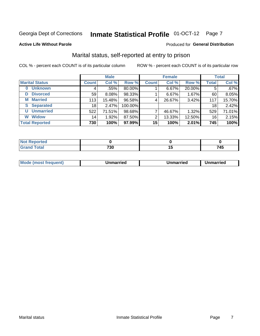## Inmate Statistical Profile 01-OCT-12 Page 7

### **Active Life Without Parole**

#### Produced for General Distribution

## Marital status, self-reported at entry to prison

COL % - percent each COUNT is of its particular column

|                            |              | <b>Male</b> |         |                 | <b>Female</b> |        |              | <b>Total</b> |
|----------------------------|--------------|-------------|---------|-----------------|---------------|--------|--------------|--------------|
| <b>Marital Status</b>      | <b>Count</b> | Col %       | Row %   | <b>Count</b>    | Col %         | Row %  | <b>Total</b> | Col %        |
| <b>Unknown</b><br>$\bf{0}$ | 4            | .55%        | 80.00%  |                 | 6.67%         | 20.00% | 5            | $.67\%$      |
| <b>Divorced</b><br>D       | 59           | 8.08%       | 98.33%  |                 | 6.67%         | 1.67%  | 60           | 8.05%        |
| <b>Married</b><br>М        | 113          | 15.48%      | 96.58%  | 4               | 26.67%        | 3.42%  | 117          | 15.70%       |
| <b>Separated</b><br>S.     | 18           | 2.47%       | 100.00% |                 |               |        | 18           | 2.42%        |
| <b>Unmarried</b><br>U      | 522          | 71.51%      | 98.68%  |                 | 46.67%        | 1.32%  | 529          | 71.01%       |
| <b>Widow</b><br>W          | 14           | 1.92%       | 87.50%  | 2               | 13.33%        | 12.50% | 16           | 2.15%        |
| <b>Total Reported</b>      | 730          | 100%        | 97.99%  | 15 <sup>1</sup> | 100%          | 2.01%  | 745          | 100%         |

| للمراجع باللومون<br><b>Not Reported</b><br>. <b>.</b> |            |     |
|-------------------------------------------------------|------------|-----|
| <b>Total</b>                                          | 700<br>ึงบ | 745 |

|--|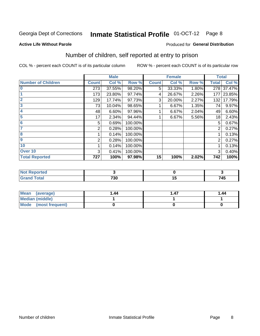#### **Inmate Statistical Profile 01-OCT-12** Page 8

### **Active Life Without Parole**

### **Produced for General Distribution**

## Number of children, self reported at entry to prison

COL % - percent each COUNT is of its particular column

|                           |              | <b>Male</b> |         |              | <b>Female</b> |       | <b>Total</b>   |        |
|---------------------------|--------------|-------------|---------|--------------|---------------|-------|----------------|--------|
| <b>Number of Children</b> | <b>Count</b> | Col %       | Row %   | <b>Count</b> | Col %         | Row % | <b>Total</b>   | Col %  |
| $\bf{0}$                  | 273          | 37.55%      | 98.20%  | 5            | 33.33%        | 1.80% | 278            | 37.47% |
|                           | 173          | 23.80%      | 97.74%  | 4            | 26.67%        | 2.26% | 177            | 23.85% |
| $\overline{2}$            | 129          | 17.74%      | 97.73%  | 3            | 20.00%        | 2.27% | 132            | 17.79% |
| 3                         | 73           | 10.04%      | 98.65%  |              | 6.67%         | 1.35% | 74             | 9.97%  |
| 4                         | 48           | 6.60%       | 97.96%  |              | 6.67%         | 2.04% | 49             | 6.60%  |
| 5                         | 17           | 2.34%       | 94.44%  |              | 6.67%         | 5.56% | 18             | 2.43%  |
| 6                         | 5            | 0.69%       | 100.00% |              |               |       | 5              | 0.67%  |
|                           | 2            | 0.28%       | 100.00% |              |               |       | 2              | 0.27%  |
| 8                         |              | 0.14%       | 100.00% |              |               |       |                | 0.13%  |
| 9                         | 2            | 0.28%       | 100.00% |              |               |       | $\overline{2}$ | 0.27%  |
| 10                        |              | 0.14%       | 100.00% |              |               |       |                | 0.13%  |
| Over 10                   | 3            | 0.41%       | 100.00% |              |               |       | 3              | 0.40%  |
| <b>Total Reported</b>     | 727          | 100%        | 97.98%  | 15           | 100%          | 2.02% | 742            | 100%   |

| τeα<br>$\sim$<br>. |     |     |
|--------------------|-----|-----|
| υιαι               | 700 | 74E |
| $\sim$             | טכ  | 745 |

| <b>Mean</b><br>(average) | 1.44 | . 47 | 1.44 |
|--------------------------|------|------|------|
| Median (middle)          |      |      |      |
| Mode (most frequent)     |      |      |      |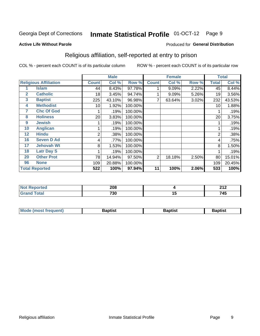#### **Inmate Statistical Profile 01-OCT-12** Page 9

#### **Active Life Without Parole**

### Produced for General Distribution

## Religious affiliation, self-reported at entry to prison

COL % - percent each COUNT is of its particular column

|              |                              |              | <b>Male</b> |         |              | <b>Female</b> |       |              | <b>Total</b> |
|--------------|------------------------------|--------------|-------------|---------|--------------|---------------|-------|--------------|--------------|
|              | <b>Religious Affiliation</b> | <b>Count</b> | Col %       | Row %   | <b>Count</b> | Col %         | Row % | <b>Total</b> | Col %        |
|              | <b>Islam</b>                 | 44           | 8.43%       | 97.78%  |              | 9.09%         | 2.22% | 45           | 8.44%        |
| $\mathbf{2}$ | <b>Catholic</b>              | 18           | 3.45%       | 94.74%  |              | 9.09%         | 5.26% | 19           | 3.56%        |
| 3            | <b>Baptist</b>               | 225          | 43.10%      | 96.98%  |              | 63.64%        | 3.02% | 232          | 43.53%       |
| 4            | <b>Methodist</b>             | 10           | 1.92%       | 100.00% |              |               |       | 10           | 1.88%        |
| 7            | <b>Chc Of God</b>            |              | .19%        | 100.00% |              |               |       |              | .19%         |
| 8            | <b>Holiness</b>              | 20           | 3.83%       | 100.00% |              |               |       | 20           | 3.75%        |
| 9            | <b>Jewish</b>                |              | .19%        | 100.00% |              |               |       |              | .19%         |
| 10           | <b>Anglican</b>              |              | .19%        | 100.00% |              |               |       |              | .19%         |
| 12           | <b>Hindu</b>                 | 2            | .38%        | 100.00% |              |               |       | 2            | .38%         |
| 16           | <b>Seven D Ad</b>            | 4            | .77%        | 100.00% |              |               |       | 4            | .75%         |
| 17           | <b>Jehovah Wt</b>            | 8            | 1.53%       | 100.00% |              |               |       | 8            | 1.50%        |
| 18           | <b>Latr Day S</b>            |              | .19%        | 100.00% |              |               |       |              | .19%         |
| 20           | <b>Other Prot</b>            | 78           | 14.94%      | 97.50%  | 2            | 18.18%        | 2.50% | 80           | 15.01%       |
| 96           | <b>None</b>                  | 109          | 20.88%      | 100.00% |              |               |       | 109          | 20.45%       |
|              | <b>Total Reported</b>        | 522          | 100%        | 97.94%  | 11           | 100%          | 2.06% | 533          | 100%         |

| rteo<br>$\sim$ | 208         |    | 245<br>- - - |
|----------------|-------------|----|--------------|
| _____          | 720<br>טט ו | יי | 745<br>- 1   |

| <b>Mode (most frequent)</b> | Baptist | Baptist | <b>Baptist</b> |
|-----------------------------|---------|---------|----------------|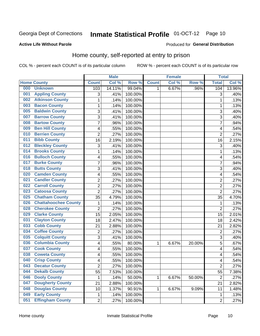#### **Inmate Statistical Profile 01-OCT-12** Page 10

#### **Active Life Without Parole**

#### Produced for General Distribution

## Home county, self-reported at entry to prison

COL % - percent each COUNT is of its particular column

|     |                             |                | <b>Male</b> |         |              | <b>Female</b> |        | <b>Total</b>   |        |
|-----|-----------------------------|----------------|-------------|---------|--------------|---------------|--------|----------------|--------|
|     | <b>Home County</b>          | <b>Count</b>   | Col %       | Row %   | <b>Count</b> | Col %         | Row %  | <b>Total</b>   | Col %  |
| 000 | <b>Unknown</b>              | 103            | 14.11%      | 99.04%  | 1            | 6.67%         | .96%   | 104            | 13.96% |
| 001 | <b>Appling County</b>       | 3              | .41%        | 100.00% |              |               |        | 3              | .40%   |
| 002 | <b>Atkinson County</b>      | $\mathbf 1$    | .14%        | 100.00% |              |               |        | 1              | .13%   |
| 003 | <b>Bacon County</b>         | $\mathbf 1$    | .14%        | 100.00% |              |               |        | 1              | .13%   |
| 005 | <b>Baldwin County</b>       | 3              | .41%        | 100.00% |              |               |        | 3              | .40%   |
| 007 | <b>Barrow County</b>        | 3              | .41%        | 100.00% |              |               |        | 3              | .40%   |
| 008 | <b>Bartow County</b>        | $\overline{7}$ | .96%        | 100.00% |              |               |        | 7              | .94%   |
| 009 | <b>Ben Hill County</b>      | 4              | .55%        | 100.00% |              |               |        | 4              | .54%   |
| 010 | <b>Berrien County</b>       | $\overline{2}$ | .27%        | 100.00% |              |               |        | $\overline{2}$ | .27%   |
| 011 | <b>Bibb County</b>          | 16             | 2.19%       | 100.00% |              |               |        | 16             | 2.15%  |
| 012 | <b>Bleckley County</b>      | 3              | .41%        | 100.00% |              |               |        | 3              | .40%   |
| 014 | <b>Brooks County</b>        | 1              | .14%        | 100.00% |              |               |        | 1              | .13%   |
| 016 | <b>Bulloch County</b>       | 4              | .55%        | 100.00% |              |               |        | 4              | .54%   |
| 017 | <b>Burke County</b>         | $\overline{7}$ | .96%        | 100.00% |              |               |        | 7              | .94%   |
| 018 | <b>Butts County</b>         | 3              | .41%        | 100.00% |              |               |        | 3              | .40%   |
| 020 | <b>Camden County</b>        | 4              | .55%        | 100.00% |              |               |        | 4              | .54%   |
| 021 | <b>Candler County</b>       | $\overline{2}$ | .27%        | 100.00% |              |               |        | $\overline{2}$ | .27%   |
| 022 | <b>Carroll County</b>       | $\overline{c}$ | .27%        | 100.00% |              |               |        | $\overline{2}$ | .27%   |
| 023 | <b>Catoosa County</b>       | $\overline{2}$ | .27%        | 100.00% |              |               |        | $\overline{2}$ | .27%   |
| 025 | <b>Chatham County</b>       | 35             | 4.79%       | 100.00% |              |               |        | 35             | 4.70%  |
| 026 | <b>Chattahoochee County</b> | $\mathbf 1$    | .14%        | 100.00% |              |               |        | 1              | .13%   |
| 028 | <b>Cherokee County</b>      | $\overline{2}$ | .27%        | 100.00% |              |               |        | $\overline{2}$ | .27%   |
| 029 | <b>Clarke County</b>        | 15             | 2.05%       | 100.00% |              |               |        | 15             | 2.01%  |
| 031 | <b>Clayton County</b>       | 18             | 2.47%       | 100.00% |              |               |        | 18             | 2.42%  |
| 033 | <b>Cobb County</b>          | 21             | 2.88%       | 100.00% |              |               |        | 21             | 2.82%  |
| 034 | <b>Coffee County</b>        | 2              | .27%        | 100.00% |              |               |        | $\overline{2}$ | .27%   |
| 035 | <b>Colquitt County</b>      | 3              | .41%        | 100.00% |              |               |        | 3              | .40%   |
| 036 | <b>Columbia County</b>      | 4              | .55%        | 80.00%  | 1            | 6.67%         | 20.00% | 5              | .67%   |
| 037 | <b>Cook County</b>          | 4              | .55%        | 100.00% |              |               |        | 4              | .54%   |
| 038 | <b>Coweta County</b>        | 4              | .55%        | 100.00% |              |               |        | 4              | .54%   |
| 040 | <b>Crisp County</b>         | 4              | .55%        | 100.00% |              |               |        | 4              | .54%   |
| 043 | <b>Decatur County</b>       | 2              | .27%        | 100.00% |              |               |        | $\overline{2}$ | .27%   |
| 044 | <b>Dekalb County</b>        | 55             | 7.53%       | 100.00% |              |               |        | 55             | 7.38%  |
| 046 | <b>Dooly County</b>         | 1              | .14%        | 50.00%  | 1            | 6.67%         | 50.00% | $\overline{2}$ | .27%   |
| 047 | <b>Dougherty County</b>     | 21             | 2.88%       | 100.00% |              |               |        | 21             | 2.82%  |
| 048 | <b>Douglas County</b>       | 10             | 1.37%       | 90.91%  | 1            | 6.67%         | 9.09%  | 11             | 1.48%  |
| 049 | <b>Early County</b>         | $\mathbf{1}$   | .14%        | 100.00% |              |               |        | 1              | .13%   |
| 051 | <b>Effingham County</b>     | $\overline{c}$ | .27%        | 100.00% |              |               |        | $\overline{2}$ | .27%   |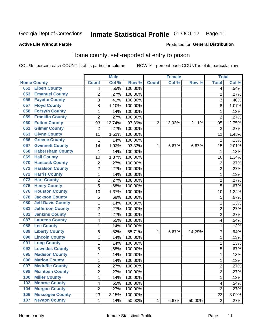#### **Inmate Statistical Profile 01-OCT-12** Page 11

### **Active Life Without Parole**

#### Produced for General Distribution

## Home county, self-reported at entry to prison

COL % - percent each COUNT is of its particular column

|     |                          |                          | <b>Male</b> |         |                | <b>Female</b> |        | <b>Total</b>   |        |
|-----|--------------------------|--------------------------|-------------|---------|----------------|---------------|--------|----------------|--------|
|     | <b>Home County</b>       | <b>Count</b>             | Col %       | Row %   | <b>Count</b>   | Col %         | Row %  | <b>Total</b>   | Col %  |
| 052 | <b>Elbert County</b>     | $\overline{4}$           | .55%        | 100.00% |                |               |        | 4              | .54%   |
| 053 | <b>Emanuel County</b>    | $\overline{2}$           | .27%        | 100.00% |                |               |        | $\overline{2}$ | .27%   |
| 056 | <b>Fayette County</b>    | 3                        | .41%        | 100.00% |                |               |        | 3              | .40%   |
| 057 | <b>Floyd County</b>      | 8                        | 1.10%       | 100.00% |                |               |        | 8              | 1.07%  |
| 058 | <b>Forsyth County</b>    | $\mathbf{1}$             | .14%        | 100.00% |                |               |        | 1              | .13%   |
| 059 | <b>Franklin County</b>   | $\overline{2}$           | .27%        | 100.00% |                |               |        | $\overline{2}$ | .27%   |
| 060 | <b>Fulton County</b>     | 93                       | 12.74%      | 97.89%  | $\overline{2}$ | 13.33%        | 2.11%  | 95             | 12.75% |
| 061 | <b>Gilmer County</b>     | $\overline{2}$           | .27%        | 100.00% |                |               |        | $\overline{2}$ | .27%   |
| 063 | <b>Glynn County</b>      | 11                       | 1.51%       | 100.00% |                |               |        | 11             | 1.48%  |
| 066 | <b>Greene County</b>     | 1                        | .14%        | 100.00% |                |               |        | 1              | .13%   |
| 067 | <b>Gwinnett County</b>   | 14                       | 1.92%       | 93.33%  | 1              | 6.67%         | 6.67%  | 15             | 2.01%  |
| 068 | <b>Habersham County</b>  | 1                        | .14%        | 100.00% |                |               |        | 1              | .13%   |
| 069 | <b>Hall County</b>       | 10                       | 1.37%       | 100.00% |                |               |        | 10             | 1.34%  |
| 070 | <b>Hancock County</b>    | $\mathbf 2$              | .27%        | 100.00% |                |               |        | 2              | .27%   |
| 071 | <b>Haralson County</b>   | $\overline{2}$           | .27%        | 100.00% |                |               |        | $\overline{2}$ | .27%   |
| 072 | <b>Harris County</b>     | 1                        | .14%        | 100.00% |                |               |        | 1              | .13%   |
| 073 | <b>Hart County</b>       | $\overline{2}$           | .27%        | 100.00% |                |               |        | $\overline{2}$ | .27%   |
| 075 | <b>Henry County</b>      | 5                        | .68%        | 100.00% |                |               |        | 5              | .67%   |
| 076 | <b>Houston County</b>    | 10                       | 1.37%       | 100.00% |                |               |        | 10             | 1.34%  |
| 078 | <b>Jackson County</b>    | 5                        | .68%        | 100.00% |                |               |        | 5              | .67%   |
| 080 | <b>Jeff Davis County</b> | $\mathbf{1}$             | .14%        | 100.00% |                |               |        | 1              | .13%   |
| 081 | <b>Jefferson County</b>  | $\overline{2}$           | .27%        | 100.00% |                |               |        | $\overline{2}$ | .27%   |
| 082 | <b>Jenkins County</b>    | $\overline{2}$           | .27%        | 100.00% |                |               |        | $\overline{2}$ | .27%   |
| 087 | <b>Laurens County</b>    | $\overline{\mathbf{4}}$  | .55%        | 100.00% |                |               |        | 4              | .54%   |
| 088 | <b>Lee County</b>        | $\mathbf 1$              | .14%        | 100.00% |                |               |        | 1              | .13%   |
| 089 | <b>Liberty County</b>    | 6                        | .82%        | 85.71%  | 1              | 6.67%         | 14.29% | 7              | .94%   |
| 090 | <b>Lincoln County</b>    | $\mathbf 1$              | .14%        | 100.00% |                |               |        | 1              | .13%   |
| 091 | <b>Long County</b>       | $\mathbf{1}$             | .14%        | 100.00% |                |               |        | 1              | .13%   |
| 092 | <b>Lowndes County</b>    | 5                        | .68%        | 100.00% |                |               |        | 5              | .67%   |
| 095 | <b>Madison County</b>    | 1                        | .14%        | 100.00% |                |               |        | 1              | .13%   |
| 096 | <b>Marion County</b>     | $\mathbf{1}$             | .14%        | 100.00% |                |               |        | 1              | .13%   |
| 097 | <b>Mcduffie County</b>   | 2                        | .27%        | 100.00% |                |               |        | 2              | .27%   |
| 098 | <b>Mcintosh County</b>   | $\overline{2}$           | .27%        | 100.00% |                |               |        | $\overline{2}$ | .27%   |
| 100 | <b>Miller County</b>     | 1                        | .14%        | 100.00% |                |               |        | 1              | .13%   |
| 102 | <b>Monroe County</b>     | $\overline{\mathcal{A}}$ | .55%        | 100.00% |                |               |        | 4              | .54%   |
| 104 | <b>Morgan County</b>     | $\overline{2}$           | .27%        | 100.00% |                |               |        | $\overline{2}$ | .27%   |
| 106 | <b>Muscogee County</b>   | 23                       | 3.15%       | 100.00% |                |               |        | 23             | 3.09%  |
| 107 | <b>Newton County</b>     | 1                        | .14%        | 50.00%  | $\mathbf{1}$   | 6.67%         | 50.00% | $\overline{2}$ | .27%   |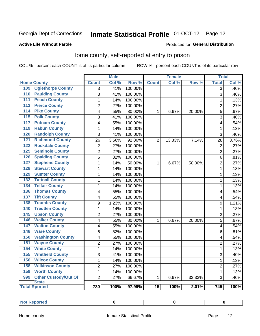## Inmate Statistical Profile 01-OCT-12 Page 12

### **Active Life Without Parole**

#### Produced for General Distribution

## Home county, self-reported at entry to prison

COL % - percent each COUNT is of its particular column

|                  |                             |                  | <b>Male</b> |         |                 | <b>Female</b> |        | <b>Total</b>   |       |
|------------------|-----------------------------|------------------|-------------|---------|-----------------|---------------|--------|----------------|-------|
|                  | <b>Home County</b>          | <b>Count</b>     | Col %       | Row %   | <b>Count</b>    | Col %         | Row %  | <b>Total</b>   | Col % |
| 109              | <b>Oglethorpe County</b>    | $\overline{3}$   | .41%        | 100.00% |                 |               |        | 3              | .40%  |
| 110              | <b>Paulding County</b>      | 3                | .41%        | 100.00% |                 |               |        | 3              | .40%  |
| $\overline{111}$ | <b>Peach County</b>         | $\mathbf{1}$     | .14%        | 100.00% |                 |               |        | $\mathbf 1$    | .13%  |
| 113              | <b>Pierce County</b>        | $\overline{2}$   | .27%        | 100.00% |                 |               |        | $\overline{2}$ | .27%  |
| 114              | <b>Pike County</b>          | 4                | .55%        | 80.00%  | $\mathbf{1}$    | 6.67%         | 20.00% | $\overline{5}$ | .67%  |
| 115              | <b>Polk County</b>          | $\overline{3}$   | .41%        | 100.00% |                 |               |        | 3              | .40%  |
| 117              | <b>Putnam County</b>        | 4                | .55%        | 100.00% |                 |               |        | 4              | .54%  |
| 119              | <b>Rabun County</b>         | $\mathbf{1}$     | .14%        | 100.00% |                 |               |        | 1              | .13%  |
| 120              | <b>Randolph County</b>      | $\overline{3}$   | .41%        | 100.00% |                 |               |        | 3              | .40%  |
| 121              | <b>Richmond County</b>      | 26               | 3.56%       | 92.86%  | $\overline{2}$  | 13.33%        | 7.14%  | 28             | 3.76% |
| 122              | <b>Rockdale County</b>      | $\overline{2}$   | .27%        | 100.00% |                 |               |        | $\overline{2}$ | .27%  |
| 125              | <b>Seminole County</b>      | $\overline{2}$   | .27%        | 100.00% |                 |               |        | $\overline{2}$ | .27%  |
| 126              | <b>Spalding County</b>      | 6                | .82%        | 100.00% |                 |               |        | 6              | .81%  |
| 127              | <b>Stephens County</b>      | $\mathbf{1}$     | .14%        | 50.00%  | $\mathbf{1}$    | 6.67%         | 50.00% | $\overline{2}$ | .27%  |
| 128              | <b>Stewart County</b>       | $\mathbf{1}$     | .14%        | 100.00% |                 |               |        | $\mathbf 1$    | .13%  |
| 129              | <b>Sumter County</b>        | $\mathbf{1}$     | .14%        | 100.00% |                 |               |        | $\mathbf 1$    | .13%  |
| $\overline{132}$ | <b>Tattnall County</b>      | $\mathbf{1}$     | .14%        | 100.00% |                 |               |        | $\mathbf 1$    | .13%  |
| 134              | <b>Telfair County</b>       | $\mathbf{1}$     | .14%        | 100.00% |                 |               |        | $\mathbf 1$    | .13%  |
| 136              | <b>Thomas County</b>        | 4                | .55%        | 100.00% |                 |               |        | 4              | .54%  |
| $\overline{137}$ | <b>Tift County</b>          | 4                | .55%        | 100.00% |                 |               |        | 4              | .54%  |
| 138              | <b>Toombs County</b>        | $\boldsymbol{9}$ | 1.23%       | 100.00% |                 |               |        | 9              | 1.21% |
| 140              | <b>Treutlen County</b>      | $\mathbf 1$      | .14%        | 100.00% |                 |               |        | 1              | .13%  |
| 145              | <b>Upson County</b>         | $\overline{2}$   | .27%        | 100.00% |                 |               |        | $\overline{2}$ | .27%  |
| 146              | <b>Walker County</b>        | 4                | .55%        | 80.00%  | 1               | 6.67%         | 20.00% | 5              | .67%  |
| 147              | <b>Walton County</b>        | 4                | .55%        | 100.00% |                 |               |        | 4              | .54%  |
| 148              | <b>Ware County</b>          | 6                | .82%        | 100.00% |                 |               |        | 6              | .81%  |
| 150              | <b>Washington County</b>    | 4                | .55%        | 100.00% |                 |               |        | 4              | .54%  |
| 151              | <b>Wayne County</b>         | $\overline{2}$   | .27%        | 100.00% |                 |               |        | $\overline{2}$ | .27%  |
| 154              | <b>White County</b>         | $\mathbf{1}$     | .14%        | 100.00% |                 |               |        | 1              | .13%  |
| 155              | <b>Whitfield County</b>     | 3                | .41%        | 100.00% |                 |               |        | 3              | .40%  |
| 156              | <b>Wilcox County</b>        | $\mathbf 1$      | .14%        | 100.00% |                 |               |        | 1              | .13%  |
| 158              | <b>Wilkinson County</b>     | $\overline{2}$   | .27%        | 100.00% |                 |               |        | $\overline{2}$ | .27%  |
| 159              | <b>Worth County</b>         | $\mathbf{1}$     | .14%        | 100.00% |                 |               |        | 1              | .13%  |
| 999              | <b>Other Custody/Out Of</b> | $\overline{2}$   | .27%        | 66.67%  | $\mathbf{1}$    | 6.67%         | 33.33% | 3              | .40%  |
|                  | <b>State</b>                |                  |             |         |                 |               |        |                |       |
|                  | <b>Total Rported</b>        | 730              | 100%        | 97.99%  | $\overline{15}$ | 100%          | 2.01%  | 745            | 100%  |

| <b>Not Reported</b> |  |  |  |
|---------------------|--|--|--|
|---------------------|--|--|--|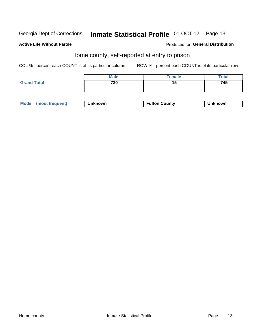## Inmate Statistical Profile 01-OCT-12 Page 13

#### **Active Life Without Parole**

#### Produced for General Distribution

## Home county, self-reported at entry to prison

COL % - percent each COUNT is of its particular column

|                    | <b>Male</b> | Female | <b>Total</b> |
|--------------------|-------------|--------|--------------|
| <b>Grand Total</b> | 730         |        | 745          |
|                    |             |        |              |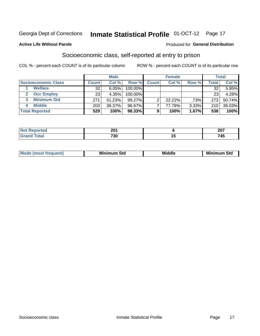## Inmate Statistical Profile 01-OCT-12 Page 17

#### **Active Life Without Parole**

#### **Produced for General Distribution**

## Socioeconomic class, self-reported at entry to prison

COL % - percent each COUNT is of its particular column

|                       |              | <b>Male</b> |         |              | <b>Female</b> |       |        | <b>Total</b> |
|-----------------------|--------------|-------------|---------|--------------|---------------|-------|--------|--------------|
| Socioeconomic Class   | <b>Count</b> | Col %       | Row %   | <b>Count</b> | Col %         | Row % | Total, | Col %        |
| <b>Welfare</b>        | 32           | 6.05%       | 100.00% |              |               |       | 32     | $5.95\%$     |
| <b>Occ Employ</b>     | 23           | 4.35%       | 100.00% |              |               |       | 23     | 4.28%        |
| <b>Minimum Std</b>    | 271          | 51.23%      | 99.27%  |              | 22.22%        | .73%  | 273    | 50.74%       |
| <b>Middle</b><br>4    | 203          | 38.37%      | 96.67%  |              | 77.78%        | 3.33% | 210    | 39.03%       |
| <b>Total Reported</b> | 529          | 100%        | 98.33%  | 9            | 100%          | 1.67% | 538    | 100%         |

| <b>001</b><br>LV I<br>____ |        | 007<br>ZV I                              |
|----------------------------|--------|------------------------------------------|
| 700<br>∂∪<br>__            | $\sim$ | – <i>. .</i><br>$\overline{\phantom{a}}$ |

|  | Mo | Minin<br>Std<br>$- - - -$ | <b>Middle</b> | Min<br>Std<br>. |
|--|----|---------------------------|---------------|-----------------|
|--|----|---------------------------|---------------|-----------------|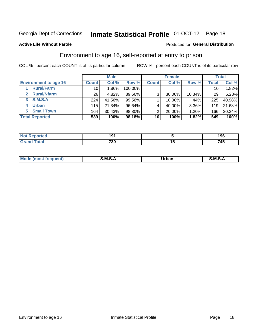## Inmate Statistical Profile 01-OCT-12 Page 18

### **Active Life Without Parole**

#### Produced for General Distribution

## Environment to age 16, self-reported at entry to prison

COL % - percent each COUNT is of its particular column

|                                      |                 | <b>Male</b> |         |              | <b>Female</b> |          |                 | <b>Total</b> |
|--------------------------------------|-----------------|-------------|---------|--------------|---------------|----------|-----------------|--------------|
| <b>Environment to age 16</b>         | <b>Count</b>    | Col %       | Row %   | <b>Count</b> | Col %         | Row %    | Total           | Col %        |
| <b>Rural/Farm</b>                    | 10              | 1.86%       | 100.00% |              |               |          | 10 <sub>1</sub> | 1.82%        |
| <b>Rural/Nfarm</b><br>$\overline{2}$ | 26 <sub>1</sub> | 4.82%       | 89.66%  | 3            | 30.00%        | 10.34%   | 29              | 5.28%        |
| 3 S.M.S.A                            | 224             | 41.56%      | 99.56%  |              | 10.00%        | .44%     | 225             | 40.98%       |
| <b>Urban</b><br>4                    | 115             | 21.34%      | 96.64%  |              | 40.00%        | $3.36\%$ | 119             | 21.68%       |
| <b>Small Town</b><br>5               | 164             | 30.43%      | 98.80%  | 2            | 20.00%        | 1.20%    | 166             | 30.24%       |
| <b>Total Reported</b>                | 539             | 100%        | 98.18%  | 10           | 100%          | 1.82%    | 549             | 100%         |

| <b>Not Reported</b> | ໍ່  |    | 1 ሰ ፎ<br>I JU |
|---------------------|-----|----|---------------|
| <b>Total</b>        | 730 | '' | 71 C<br>40    |

| Mo | M | lulaam<br>Ua.<br>_____ | M |
|----|---|------------------------|---|
|    |   |                        |   |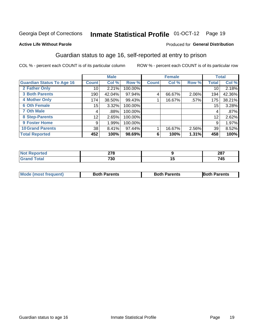## Inmate Statistical Profile 01-OCT-12 Page 19

### **Active Life Without Parole**

### Produced for General Distribution

## Guardian status to age 16, self-reported at entry to prison

COL % - percent each COUNT is of its particular column

|                                  |                  | <b>Male</b> |         |              | <b>Female</b> |       |                 | <b>Total</b> |
|----------------------------------|------------------|-------------|---------|--------------|---------------|-------|-----------------|--------------|
| <b>Guardian Status To Age 16</b> | <b>Count</b>     | Col %       | Row %   | <b>Count</b> | Col %         | Row % | <b>Total</b>    | Col %        |
| 2 Father Only                    | 10               | 2.21%       | 100.00% |              |               |       | 10              | 2.18%        |
| <b>3 Both Parents</b>            | 190              | 42.04%      | 97.94%  | 4            | 66.67%        | 2.06% | 194             | 42.36%       |
| <b>4 Mother Only</b>             | 174              | 38.50%      | 99.43%  |              | 16.67%        | .57%  | 175             | 38.21%       |
| <b>6 Oth Female</b>              | 15 <sub>15</sub> | 3.32%       | 100.00% |              |               |       | 15 <sub>1</sub> | 3.28%        |
| <b>7 Oth Male</b>                | 4                | .88%        | 100.00% |              |               |       | 4               | .87%         |
| 8 Step-Parents                   | 12               | 2.65%       | 100.00% |              |               |       | 12              | 2.62%        |
| 9 Foster Home                    | 9                | 1.99%       | 100.00% |              |               |       | 9               | 1.97%        |
| <b>10 Grand Parents</b>          | 38               | 8.41%       | 97.44%  |              | 16.67%        | 2.56% | 39              | 8.52%        |
| <b>Total Reported</b>            | 452              | 100%        | 98.69%  | 6            | 100%          | 1.31% | 458             | 100%         |

| æс | 270<br>— . U<br>___ | 207<br>ZO I        |
|----|---------------------|--------------------|
|    | 730                 | - - -<br>7 A<br>⊶ט |

| <b>Mode (most frequent)</b> | <b>Both Parents</b> | <b>Both Parents</b> | <b>Both Parents</b> |
|-----------------------------|---------------------|---------------------|---------------------|
|                             |                     |                     |                     |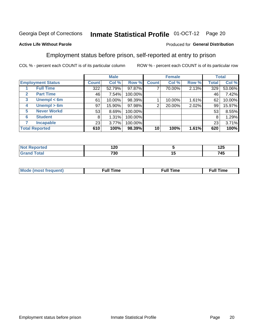#### **Inmate Statistical Profile 01-OCT-12** Page 20

#### **Active Life Without Parole**

### Produced for General Distribution

## Employment status before prison, self-reported at entry to prison

COL % - percent each COUNT is of its particular column

|                                  |              | <b>Male</b> |         |              | <b>Female</b> |       |       | <b>Total</b> |
|----------------------------------|--------------|-------------|---------|--------------|---------------|-------|-------|--------------|
| <b>Employment Status</b>         | <b>Count</b> | Col %       | Row %   | <b>Count</b> | Col %         | Row % | Total | Col %        |
| <b>Full Time</b>                 | 322          | 52.79%      | 97.87%  | ⇁            | 70.00%        | 2.13% | 329   | 53.06%       |
| <b>Part Time</b><br>$\mathbf{2}$ | 46           | 7.54%       | 100.00% |              |               |       | 46    | 7.42%        |
| Unempl $<$ 6m<br>3               | 61           | 10.00%      | 98.39%  |              | 10.00%        | 1.61% | 62    | 10.00%       |
| Unempl > 6m<br>4                 | 97           | 15.90%      | 97.98%  | 2            | 20.00%        | 2.02% | 99    | 15.97%       |
| <b>Never Workd</b><br>5          | 53           | 8.69%       | 100.00% |              |               |       | 53    | 8.55%        |
| <b>Student</b><br>6              | 8            | 1.31%       | 100.00% |              |               |       | 8     | 1.29%        |
| <b>Incapable</b>                 | 23           | 3.77%       | 100.00% |              |               |       | 23    | 3.71%        |
| <b>Total Reported</b>            | 610          | 100%        | 98.39%  | 10           | 100%          | 1.61% | 620   | 100%         |

| тео | .<br>14V |          | $\overline{\phantom{a}}$<br>ᅜ |
|-----|----------|----------|-------------------------------|
|     | 730      | ''<br>__ | 745                           |

| Mc | ∴ul! | ----<br>ıme<br>w |
|----|------|------------------|
|    |      |                  |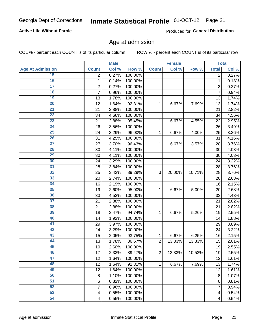## Inmate Statistical Profile 01-OCT-12 Page 21

### **Active Life Without Parole**

Produced for General Distribution

## Age at admission

COL % - percent each COUNT is of its particular column

|                         |                          | <b>Male</b> |         |                | <b>Female</b> |        |                         | <b>Total</b> |
|-------------------------|--------------------------|-------------|---------|----------------|---------------|--------|-------------------------|--------------|
| <b>Age At Admission</b> | <b>Count</b>             | Col %       | Row %   | <b>Count</b>   | Col %         | Row %  | <b>Total</b>            | Col %        |
| 15                      | $\overline{2}$           | 0.27%       | 100.00% |                |               |        | $\overline{2}$          | 0.27%        |
| 16                      | 1                        | 0.14%       | 100.00% |                |               |        | $\mathbf{1}$            | 0.13%        |
| $\overline{17}$         | $\overline{\mathbf{c}}$  | 0.27%       | 100.00% |                |               |        | $\overline{2}$          | 0.27%        |
| 18                      | $\overline{7}$           | 0.96%       | 100.00% |                |               |        | 7                       | 0.94%        |
| 19                      | 13                       | 1.78%       | 100.00% |                |               |        | 13                      | 1.74%        |
| 20                      | 12                       | 1.64%       | 92.31%  | 1              | 6.67%         | 7.69%  | 13                      | 1.74%        |
| 21                      | 21                       | 2.88%       | 100.00% |                |               |        | 21                      | 2.82%        |
| 22                      | 34                       | 4.66%       | 100.00% |                |               |        | 34                      | 4.56%        |
| 23                      | 21                       | 2.88%       | 95.45%  | 1              | 6.67%         | 4.55%  | 22                      | 2.95%        |
| 24                      | 26                       | 3.56%       | 100.00% |                |               |        | 26                      | 3.49%        |
| $\overline{25}$         | 24                       | 3.29%       | 96.00%  | 1              | 6.67%         | 4.00%  | 25                      | 3.36%        |
| 26                      | 31                       | 4.25%       | 100.00% |                |               |        | 31                      | 4.16%        |
| $\overline{27}$         | 27                       | 3.70%       | 96.43%  | $\mathbf{1}$   | 6.67%         | 3.57%  | 28                      | 3.76%        |
| 28                      | 30                       | 4.11%       | 100.00% |                |               |        | 30                      | 4.03%        |
| 29                      | 30                       | 4.11%       | 100.00% |                |               |        | 30                      | 4.03%        |
| 30                      | 24                       | 3.29%       | 100.00% |                |               |        | 24                      | 3.22%        |
| $\overline{31}$         | 28                       | 3.84%       | 100.00% |                |               |        | 28                      | 3.76%        |
| 32                      | 25                       | 3.42%       | 89.29%  | 3              | 20.00%        | 10.71% | 28                      | 3.76%        |
| 33                      | 20                       | 2.74%       | 100.00% |                |               |        | 20                      | 2.68%        |
| 34                      | 16                       | 2.19%       | 100.00% |                |               |        | 16                      | 2.15%        |
| 35                      | 19                       | 2.60%       | 95.00%  | 1              | 6.67%         | 5.00%  | 20                      | 2.68%        |
| 36                      | 33                       | 4.52%       | 100.00% |                |               |        | 33                      | 4.43%        |
| $\overline{37}$         | 21                       | 2.88%       | 100.00% |                |               |        | 21                      | 2.82%        |
| 38                      | 21                       | 2.88%       | 100.00% |                |               |        | 21                      | 2.82%        |
| 39                      | 18                       | 2.47%       | 94.74%  | 1              | 6.67%         | 5.26%  | 19                      | 2.55%        |
| 40                      | 14                       | 1.92%       | 100.00% |                |               |        | 14                      | 1.88%        |
| 41                      | 29                       | 3.97%       | 100.00% |                |               |        | 29                      | 3.89%        |
| 42                      | 24                       | 3.29%       | 100.00% |                |               |        | 24                      | 3.22%        |
| 43                      | 15                       | 2.05%       | 93.75%  | 1              | 6.67%         | 6.25%  | 16                      | 2.15%        |
| 44                      | 13                       | 1.78%       | 86.67%  | $\overline{2}$ | 13.33%        | 13.33% | 15                      | 2.01%        |
| 45                      | 19                       | 2.60%       | 100.00% |                |               |        | 19                      | 2.55%        |
| 46                      | 17                       | 2.33%       | 89.47%  | $\overline{2}$ | 13.33%        | 10.53% | 19                      | 2.55%        |
| 47                      | 12                       | 1.64%       | 100.00% |                |               |        | 12                      | 1.61%        |
| 48                      | 12                       | 1.64%       | 92.31%  | 1              | 6.67%         | 7.69%  | 13                      | 1.74%        |
| 49                      | 12                       | 1.64%       | 100.00% |                |               |        | 12                      | 1.61%        |
| 50                      | 8                        | 1.10%       | 100.00% |                |               |        | 8                       | 1.07%        |
| $\overline{51}$         | $6\phantom{1}6$          | 0.82%       | 100.00% |                |               |        | 6                       | 0.81%        |
| 52                      | 7                        | 0.96%       | 100.00% |                |               |        | 7                       | 0.94%        |
| 53                      | 4                        | 0.55%       | 100.00% |                |               |        | 4                       | 0.54%        |
| 54                      | $\overline{\mathcal{A}}$ | 0.55%       | 100.00% |                |               |        | $\overline{\mathbf{4}}$ | 0.54%        |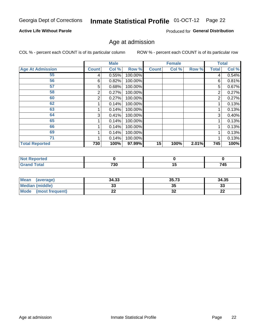## Inmate Statistical Profile 01-OCT-12 Page 22

### **Active Life Without Parole**

Produced for General Distribution

## Age at admission

COL % - percent each COUNT is of its particular column

|                         |              | <b>Male</b> |         |              | <b>Female</b> |       |              | <b>Total</b> |
|-------------------------|--------------|-------------|---------|--------------|---------------|-------|--------------|--------------|
| <b>Age At Admission</b> | <b>Count</b> | Col %       | Row %   | <b>Count</b> | Col %         | Row % | <b>Total</b> | Col %        |
| 55                      | 4            | 0.55%       | 100.00% |              |               |       | 4            | 0.54%        |
| 56                      | 6            | 0.82%       | 100.00% |              |               |       | 6            | 0.81%        |
| 57                      | 5            | 0.68%       | 100.00% |              |               |       | 5            | 0.67%        |
| 58                      | 2            | 0.27%       | 100.00% |              |               |       | 2            | 0.27%        |
| 60                      | 2            | 0.27%       | 100.00% |              |               |       | 2            | 0.27%        |
| 62                      |              | 0.14%       | 100.00% |              |               |       |              | 0.13%        |
| 63                      |              | 0.14%       | 100.00% |              |               |       |              | 0.13%        |
| 64                      | 3            | 0.41%       | 100.00% |              |               |       | 3            | 0.40%        |
| 65                      |              | 0.14%       | 100.00% |              |               |       |              | 0.13%        |
| 66                      |              | 0.14%       | 100.00% |              |               |       |              | 0.13%        |
| 69                      |              | 0.14%       | 100.00% |              |               |       |              | 0.13%        |
| 71                      |              | 0.14%       | 100.00% |              |               |       |              | 0.13%        |
| <b>Total Reported</b>   | 730          | 100%        | 97.99%  | 15           | 100%          | 2.01% | 745          | 100%         |

| <b>rted</b>          |             |    |     |
|----------------------|-------------|----|-----|
| $\sim$ $\sim$ $\sim$ | 700<br>7 JU | יי | 745 |

| Mean<br>(average)              | 34.33 | 35.73    | 34.35    |
|--------------------------------|-------|----------|----------|
| <b>Median (middle)</b>         | ົ     | 35       | n.<br>نە |
| <b>Mode</b><br>(most frequent) | --    | ^^<br>JZ | n,<br>LL |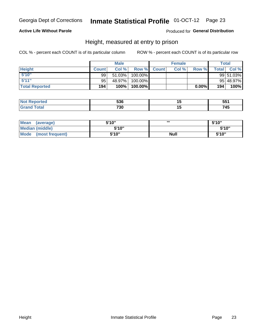#### Inmate Statistical Profile 01-OCT-12 Page 23

### **Active Life Without Parole**

### Produced for General Distribution

## Height, measured at entry to prison

COL % - percent each COUNT is of its particular column

|                       |              | <b>Male</b> |          |              | <b>Female</b> |       |         | Total     |
|-----------------------|--------------|-------------|----------|--------------|---------------|-------|---------|-----------|
| <b>Height</b>         | <b>Count</b> | Col %       | Row %    | <b>Count</b> | Col %         | Row % | Total I | Col %     |
| 5'10''                | 99           | 51.03%      | 100.00%  |              |               |       |         | 99 51.03% |
| 5'11''                | 95           | 48.97%      | 100.00%  |              |               |       |         | 95 48.97% |
| <b>Total Reported</b> | 194          | 100%        | 100.00%) |              |               | 0.00% | 194     | 100%      |

| <b>No</b>             | EOC | $\sim$ | 551  |
|-----------------------|-----|--------|------|
| rted                  | JJU |        | ັບປະ |
| Total<br><b>Grand</b> | 730 |        | 745  |

| <b>Mean</b><br>(average)       | 5'10'' | ,,,         | 5'10"  |
|--------------------------------|--------|-------------|--------|
| Median (middle)                | 5'10"  |             | 5'10'' |
| <b>Mode</b><br>(most frequent) | 5'10"  | <b>Null</b> | 5'10"  |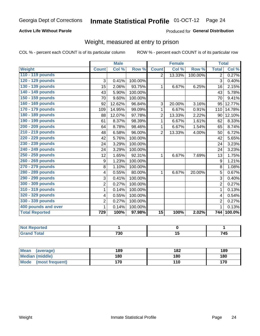#### Inmate Statistical Profile 01-OCT-12 Page 24

### **Active Life Without Parole**

### Produced for General Distribution

## Weight, measured at entry to prison

COL % - percent each COUNT is of its particular column

|                       |                | <b>Male</b> |         |                | <b>Female</b> |         |                | <b>Total</b> |
|-----------------------|----------------|-------------|---------|----------------|---------------|---------|----------------|--------------|
| Weight                | <b>Count</b>   | Col %       | Row %   | <b>Count</b>   | Col %         | Row %   | <b>Total</b>   | Col %        |
| 110 - 119 pounds      |                |             |         | $\overline{2}$ | 13.33%        | 100.00% | $\overline{2}$ | 0.27%        |
| 120 - 129 pounds      | 3              | 0.41%       | 100.00% |                |               |         | 3              | 0.40%        |
| 130 - 139 pounds      | 15             | 2.06%       | 93.75%  | 1              | 6.67%         | 6.25%   | 16             | 2.15%        |
| 140 - 149 pounds      | 43             | 5.90%       | 100.00% |                |               |         | 43             | 5.78%        |
| 150 - 159 pounds      | 70             | 9.60%       | 100.00% |                |               |         | 70             | 9.41%        |
| 160 - 169 pounds      | 92             | 12.62%      | 96.84%  | 3              | 20.00%        | 3.16%   | 95             | 12.77%       |
| 170 - 179 pounds      | 109            | 14.95%      | 99.09%  | 1              | 6.67%         | 0.91%   | 110            | 14.78%       |
| 180 - 189 pounds      | 88             | 12.07%      | 97.78%  | 2              | 13.33%        | 2.22%   | 90             | 12.10%       |
| 190 - 199 pounds      | 61             | 8.37%       | 98.39%  | 1              | 6.67%         | 1.61%   | 62             | 8.33%        |
| 200 - 209 pounds      | 64             | 8.78%       | 98.46%  | 1              | 6.67%         | 1.54%   | 65             | 8.74%        |
| 210 - 219 pounds      | 48             | 6.58%       | 96.00%  | $\overline{2}$ | 13.33%        | 4.00%   | 50             | 6.72%        |
| 220 - 229 pounds      | 42             | 5.76%       | 100.00% |                |               |         | 42             | 5.65%        |
| 230 - 239 pounds      | 24             | 3.29%       | 100.00% |                |               |         | 24             | 3.23%        |
| 240 - 249 pounds      | 24             | 3.29%       | 100.00% |                |               |         | 24             | 3.23%        |
| 250 - 259 pounds      | 12             | 1.65%       | 92.31%  | $\mathbf{1}$   | 6.67%         | 7.69%   | 13             | 1.75%        |
| 260 - 269 pounds      | 9              | 1.23%       | 100.00% |                |               |         | 9              | 1.21%        |
| 270 - 279 pounds      | 8              | 1.10%       | 100.00% |                |               |         | 8              | 1.08%        |
| 280 - 289 pounds      | 4              | 0.55%       | 80.00%  | 1              | 6.67%         | 20.00%  | 5              | 0.67%        |
| 290 - 299 pounds      | 3              | 0.41%       | 100.00% |                |               |         | 3              | 0.40%        |
| 300 - 309 pounds      | $\overline{2}$ | 0.27%       | 100.00% |                |               |         | $\overline{2}$ | 0.27%        |
| 310 - 319 pounds      | 1              | 0.14%       | 100.00% |                |               |         | 1              | 0.13%        |
| 320 - 329 pounds      | 4              | 0.55%       | 100.00% |                |               |         | 4              | 0.54%        |
| 330 - 339 pounds      | $\overline{2}$ | 0.27%       | 100.00% |                |               |         | $\overline{2}$ | 0.27%        |
| 400 pounds and over   | 1              | 0.14%       | 100.00% |                |               |         | $\mathbf 1$    | 0.13%        |
| <b>Total Reported</b> | 729            | 100%        | 97.98%  | 15             | 100%          | 2.02%   |                | 744 100.0%   |

| Reported     |     |             |
|--------------|-----|-------------|
| <b>Fotal</b> | 730 | 71 C<br>45، |

| Mean<br>(average)              | 189 | 182 | 189 |
|--------------------------------|-----|-----|-----|
| <b>Median (middle)</b>         | 180 | 180 | 180 |
| <b>Mode</b><br>(most frequent) | 170 | 110 | 170 |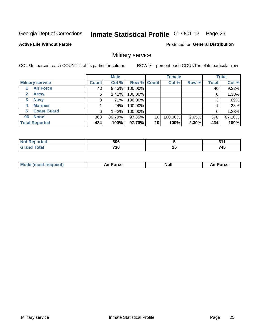## Inmate Statistical Profile 01-OCT-12 Page 25

**Active Life Without Parole** 

**Produced for General Distribution** 

## Military service

COL % - percent each COUNT is of its particular column

|                             |              | <b>Male</b> |                    |    | <b>Female</b> |       |              | <b>Total</b> |
|-----------------------------|--------------|-------------|--------------------|----|---------------|-------|--------------|--------------|
| <b>Military service</b>     | <b>Count</b> | Col %       | <b>Row % Count</b> |    | Col %         | Row % | <b>Total</b> | Col %        |
| <b>Air Force</b>            | 40           | 9.43%       | 100.00%            |    |               |       | 40           | 9.22%        |
| $\mathbf{2}$<br><b>Army</b> | 6            | 1.42%       | 100.00%            |    |               |       | 6            | 1.38%        |
| <b>Navy</b><br>3            | 3            | $.71\%$     | 100.00%            |    |               |       | 3            | .69%         |
| <b>Marines</b><br>4         |              | .24%        | 100.00%            |    |               |       |              | .23%         |
| <b>Coast Guard</b><br>5     | 6            | 1.42%       | 100.00%            |    |               |       | 6            | 1.38%        |
| <b>None</b><br>96           | 368          | 86.79%      | 97.35%             | 10 | 100.00%       | 2.65% | 378          | 87.10%       |
| <b>Total Reported</b>       | 424          | 100%        | 97.70%             | 10 | 100%          | 2.30% | 434          | 100%         |

| <b>rted</b> | 306        |     | 24  |
|-------------|------------|-----|-----|
| Гоtal       | <b>720</b> | . . | 745 |
|             | טט ו       |     | --  |

|  |  | <b>Mode</b><br>uent)<br>most tren | Force<br>Aır | <b>Null</b> | orce |
|--|--|-----------------------------------|--------------|-------------|------|
|--|--|-----------------------------------|--------------|-------------|------|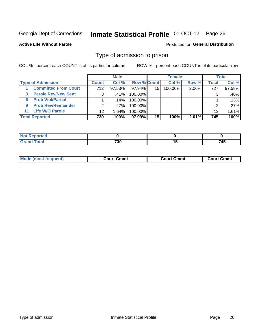## Inmate Statistical Profile 01-OCT-12 Page 26

**Active Life Without Parole** 

Produced for General Distribution

## Type of admission to prison

COL % - percent each COUNT is of its particular column

|                                 |                 | <b>Male</b> |                    |    | <b>Female</b> |       |                 | <b>Total</b> |
|---------------------------------|-----------------|-------------|--------------------|----|---------------|-------|-----------------|--------------|
| <b>Type of Admission</b>        | <b>Count</b>    | Col %       | <b>Row % Count</b> |    | Col %         | Row % | Total           | Col %        |
| <b>Committed From Court</b>     | 712             | $97.53\%$   | 97.94%             | 15 | $100.00\%$    | 2.06% | 727             | 97.58%       |
| <b>Parole Rev/New Sent</b><br>3 | 3               | ا %41.      | 100.00%            |    |               |       | 3               | .40%         |
| <b>Prob Viol/Partial</b><br>6.  |                 | ا 14%.      | 100.00%            |    |               |       |                 | .13%         |
| <b>Prob Rev/Remainder</b><br>9  | 2               | $.27\%$     | 100.00%            |    |               |       | ⌒               | .27%         |
| <b>Life W/O Parole</b><br>11    | 12 <sup>°</sup> | 1.64%       | 100.00%            |    |               |       | 12 <sub>1</sub> | 1.61%        |
| <b>Total Reported</b>           | 730             | 100%        | 97.99%             | 15 | 100%          | 2.01% | 745             | 100%         |

| ਾ∩rted <b>ਜ</b><br><b>NOT</b> |     |                      |
|-------------------------------|-----|----------------------|
| T <sub>of</sub><br><b></b>    | 730 | - - -<br>- 1<br>. 4v |

| Mode (most frequent) | Court Cmmt | Cmmt<br>Court ( | Court Cmmt |
|----------------------|------------|-----------------|------------|
|                      |            |                 |            |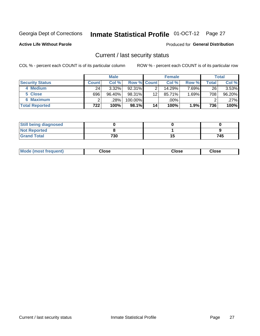## Inmate Statistical Profile 01-OCT-12 Page 27

**Active Life Without Parole** 

#### Produced for General Distribution

## Current / last security status

COL % - percent each COUNT is of its particular column

|                        |                | <b>Male</b> |                    |    | <b>Female</b> |          |                    | <b>Total</b> |
|------------------------|----------------|-------------|--------------------|----|---------------|----------|--------------------|--------------|
| <b>Security Status</b> | <b>Count</b> l | Col %       | <b>Row % Count</b> |    | Col %         | Row %    | $\mathsf{Total}$ , | Col %        |
| 4 Medium               | 24             | $3.32\%$    | $92.31\%$          |    | 14.29%        | $7.69\%$ | 26                 | $3.53\%$     |
| 5 Close                | 696            | 96.40%      | 98.31%             | 12 | 85.71%        | $1.69\%$ | 708                | 96.20%       |
| <b>6 Maximum</b>       |                | $.28\%$     | 100.00%            |    | .00%          |          | ົ                  | .27%         |
| <b>Total Reported</b>  | 722            | 100%        | 98.1%              | 14 | 100%          | $1.9\%$  | 736                | 100%         |

| <b>Still being diagnosed</b> |     |     |
|------------------------------|-----|-----|
| <b>Not Reported</b>          |     |     |
| <b>Grand Total</b>           | 730 | 745 |

| Mode (most frequent) | Close | Close | <b>Close</b> |
|----------------------|-------|-------|--------------|
|                      |       |       |              |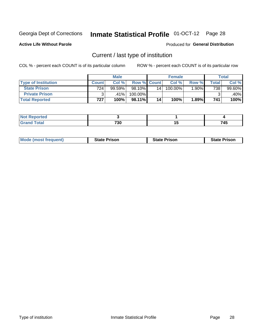## Inmate Statistical Profile 01-OCT-12 Page 28

**Active Life Without Parole** 

Produced for General Distribution

## Current / last type of institution

COL % - percent each COUNT is of its particular column

|                            |              | <b>Male</b> |                    |    | <b>Female</b> |       |                          | <b>Total</b> |
|----------------------------|--------------|-------------|--------------------|----|---------------|-------|--------------------------|--------------|
| <b>Type of Institution</b> | <b>Count</b> | Col %       | <b>Row % Count</b> |    | Col %         | Row % | $\mathsf{Total}_{\perp}$ | Col %        |
| <b>State Prison</b>        | 724.         | 99.59%      | 98.10%             | 14 | 100.00%       | 1.90% | 738                      | 99.60%       |
| <b>Private Prison</b>      |              | $.41\%$     | 100.00%            |    |               |       |                          | .40%         |
| <b>Total Reported</b>      | 727          | 100%        | 98.11%             | 14 | 100%          | 1.89% | 741                      | 100%         |

| τeα                         |             |    |                 |
|-----------------------------|-------------|----|-----------------|
| $\sim$ $\sim$ $\sim$ $\sim$ | 700<br>7 JU | יי | л<br>. .<br>___ |

| <b>Mode (most frequent)</b> | <b>State Prison</b> | <b>State Prison</b> | <b>State Prison</b> |
|-----------------------------|---------------------|---------------------|---------------------|
|                             |                     |                     |                     |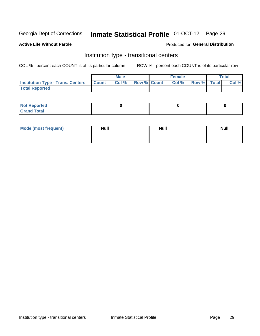## Inmate Statistical Profile 01-OCT-12 Page 29

#### **Active Life Without Parole**

### Produced for General Distribution

## Institution type - transitional centers

COL % - percent each COUNT is of its particular column

|                                                | <b>Male</b> |                          | <b>Female</b> |             | Total |
|------------------------------------------------|-------------|--------------------------|---------------|-------------|-------|
| <b>Institution Type - Trans. Centers Count</b> |             | <b>Col %</b> Row % Count | CoI%          | Row % Total | Col % |
| <b>Total Reported</b>                          |             |                          |               |             |       |

| <b>Reported</b><br><b>NOT</b><br>$\sim$            |  |  |
|----------------------------------------------------|--|--|
| $f$ $f \circ f \circ f$<br>$C = 1$<br><b>TULAI</b> |  |  |

| Mode (most frequent) | <b>Null</b> | <b>Null</b> | <b>Null</b> |
|----------------------|-------------|-------------|-------------|
|                      |             |             |             |
|                      |             |             |             |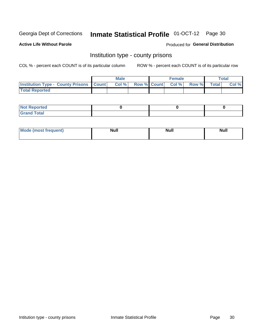## Inmate Statistical Profile 01-OCT-12 Page 30

**Active Life Without Parole** 

**Produced for General Distribution** 

## Institution type - county prisons

COL % - percent each COUNT is of its particular column

|                                                    | <b>Male</b> |       |  | <b>Female</b> |                          |             | <b>Total</b> |       |
|----------------------------------------------------|-------------|-------|--|---------------|--------------------------|-------------|--------------|-------|
| <b>Institution Type - County Prisons   Count  </b> |             | Col % |  |               | <b>Row % Count Col %</b> | Row % Total |              | Col % |
| <b>Total Reported</b>                              |             |       |  |               |                          |             |              |       |

| <b>Not Reported</b>         |  |  |
|-----------------------------|--|--|
| <b>Total</b><br>-<br>______ |  |  |

| <b>Mode</b>      | <b>Null</b> | <b>Null</b> | <b>Null</b> |
|------------------|-------------|-------------|-------------|
| (most freauent). |             |             |             |
|                  |             |             |             |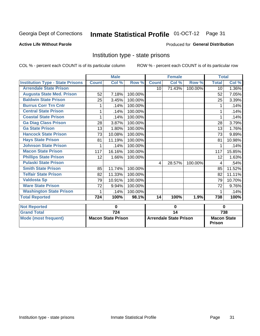## Inmate Statistical Profile 01-OCT-12 Page 31

### **Active Life Without Parole**

#### Produced for General Distribution

## Institution type - state prisons

COL % - percent each COUNT is of its particular column

|                                         | <b>Male</b>               |        |                               |                 | <b>Female</b> |                                     | <b>Total</b> |          |
|-----------------------------------------|---------------------------|--------|-------------------------------|-----------------|---------------|-------------------------------------|--------------|----------|
| <b>Institution Type - State Prisons</b> | <b>Count</b>              | Col %  | Row %                         | <b>Count</b>    | Col %         | Row %                               | <b>Total</b> | Col %    |
| <b>Arrendale State Prison</b>           |                           |        |                               | 10              | 71.43%        | 100.00%                             | 10           | $1.36\%$ |
| <b>Augusta State Med. Prison</b>        | 52                        | 7.18%  | 100.00%                       |                 |               |                                     | 52           | 7.05%    |
| <b>Baldwin State Prison</b>             | 25                        | 3.45%  | 100.00%                       |                 |               |                                     | 25           | 3.39%    |
| <b>Burrus Corr Trn Cntr</b>             |                           | .14%   | 100.00%                       |                 |               |                                     |              | .14%     |
| <b>Central State Prison</b>             |                           | .14%   | 100.00%                       |                 |               |                                     |              | .14%     |
| <b>Coastal State Prison</b>             | 1                         | .14%   | 100.00%                       |                 |               |                                     | 1            | .14%     |
| <b>Ga Diag Class Prison</b>             | 28                        | 3.87%  | 100.00%                       |                 |               |                                     | 28           | 3.79%    |
| <b>Ga State Prison</b>                  | 13                        | 1.80%  | 100.00%                       |                 |               |                                     | 13           | 1.76%    |
| <b>Hancock State Prison</b>             | 73                        | 10.08% | 100.00%                       |                 |               |                                     | 73           | 9.89%    |
| <b>Hays State Prison</b>                | 81                        | 11.19% | 100.00%                       |                 |               |                                     | 81           | 10.98%   |
| <b>Johnson State Prison</b>             |                           | .14%   | 100.00%                       |                 |               |                                     |              | .14%     |
| <b>Macon State Prison</b>               | 117                       | 16.16% | 100.00%                       |                 |               |                                     | 117          | 15.85%   |
| <b>Phillips State Prison</b>            | 12                        | 1.66%  | 100.00%                       |                 |               |                                     | 12           | 1.63%    |
| <b>Pulaski State Prison</b>             |                           |        |                               | 4               | 28.57%        | 100.00%                             | 4            | .54%     |
| <b>Smith State Prison</b>               | 85                        | 11.74% | 100.00%                       |                 |               |                                     | 85           | 11.52%   |
| <b>Telfair State Prison</b>             | 82                        | 11.33% | 100.00%                       |                 |               |                                     | 82           | 11.11%   |
| <b>Valdosta Sp</b>                      | 79                        | 10.91% | 100.00%                       |                 |               |                                     | 79           | 10.70%   |
| <b>Ware State Prison</b>                | 72                        | 9.94%  | 100.00%                       |                 |               |                                     | 72           | 9.76%    |
| <b>Washington State Prison</b>          | 1                         | .14%   | 100.00%                       |                 |               |                                     | 1            | .14%     |
| <b>Total Reported</b>                   | 724                       | 100%   | 98.1%                         | 14              | 100%          | 1.9%                                | 738          | 100%     |
| <b>Not Reported</b>                     | 0                         |        | $\bf{0}$                      |                 |               | $\bf{0}$                            |              |          |
| <b>Grand Total</b>                      |                           | 724    |                               | $\overline{14}$ |               |                                     |              | 738      |
| <b>Mode (most frequent)</b>             | <b>Macon State Prison</b> |        | <b>Arrendale State Prison</b> |                 |               | <b>Macon State</b><br><b>Prison</b> |              |          |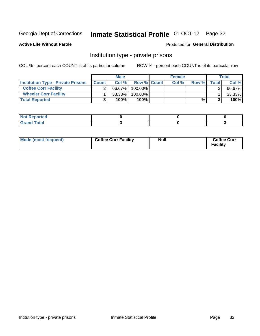## Inmate Statistical Profile 01-OCT-12 Page 32

**Active Life Without Parole** 

### Produced for General Distribution

## Institution type - private prisons

COL % - percent each COUNT is of its particular column

|                                           | <b>Male</b>  |           |                    | <b>Female</b> |      |       |       | <b>Total</b> |
|-------------------------------------------|--------------|-----------|--------------------|---------------|------|-------|-------|--------------|
| <b>Institution Type - Private Prisons</b> | <b>Count</b> | Col $%$   | <b>Row % Count</b> |               | Col% | Row % | Total | Col %        |
| <b>Coffee Corr Facility</b>               |              | 66.67%    | $100.00\%$         |               |      |       |       | 66.67%       |
| <b>Wheeler Corr Facility</b>              |              | $33.33\%$ | $100.00\%$         |               |      |       |       | 33.33%       |
| <b>Total Reported</b>                     |              | 100%      | 100%               |               |      | %।    |       | 100%         |

| <b>Not Reported</b>     |  |  |
|-------------------------|--|--|
| <u>i Utal</u><br>------ |  |  |

| Mode (most frequent) | <b>Coffee Corr Facility</b> | Null | <b>Coffee Corr</b><br><b>Facility</b> |
|----------------------|-----------------------------|------|---------------------------------------|
|----------------------|-----------------------------|------|---------------------------------------|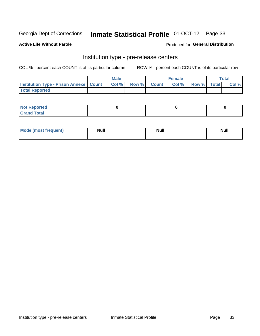## Inmate Statistical Profile 01-OCT-12 Page 33

**Active Life Without Parole** 

Produced for General Distribution

## Institution type - pre-release centers

COL % - percent each COUNT is of its particular column

|                                                    | <b>Male</b> |       |  |             | <b>Female</b> | <b>Total</b> |  |       |
|----------------------------------------------------|-------------|-------|--|-------------|---------------|--------------|--|-------|
| <b>Institution Type - Prison Annexe   Count   </b> |             | Col % |  | Row % Count | Col %         | Row % Total  |  | Col % |
| <b>Total Reported</b>                              |             |       |  |             |               |              |  |       |

| <b>Reported</b><br>I NOT |  |  |
|--------------------------|--|--|
| <b>Total</b><br>$C$ ren  |  |  |

| $^{\circ}$ Mo<br>frequent)<br>⊥(mos* | <b>Null</b> | Noll<br><b>vull</b> | <b>Null</b> |
|--------------------------------------|-------------|---------------------|-------------|
|                                      |             |                     |             |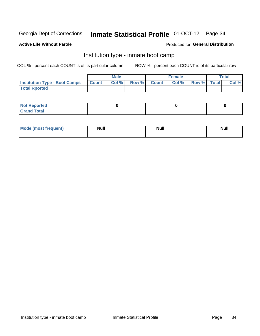## Inmate Statistical Profile 01-OCT-12 Page 34

#### **Active Life Without Parole**

### Produced for General Distribution

## Institution type - inmate boot camp

COL % - percent each COUNT is of its particular column

|                                      |                  | <b>Male</b> |              |              | <b>Female</b> |             | <b>Total</b> |
|--------------------------------------|------------------|-------------|--------------|--------------|---------------|-------------|--------------|
| <b>Institution Type - Boot Camps</b> | <b>I</b> Count I | Col %       | <b>Row %</b> | <b>Count</b> | Col %         | Row % Total | Col %        |
| <b>Total Rported</b>                 |                  |             |              |              |               |             |              |

| <b>Not Reported</b> |  |  |
|---------------------|--|--|
| <b>Total</b><br>Cro |  |  |

| <b>AhoM</b>       | <b>Null</b> | <b>Null</b> | Ab d' |
|-------------------|-------------|-------------|-------|
| <b>"requent</b> ) |             |             |       |
|                   |             |             |       |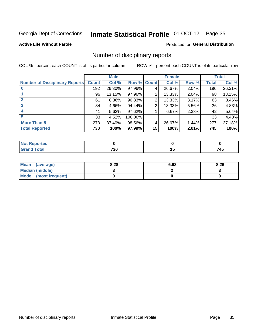## Inmate Statistical Profile 01-OCT-12 Page 35

#### **Active Life Without Parole**

#### Produced for General Distribution

## Number of disciplinary reports

COL % - percent each COUNT is of its particular column

|                                       |              | <b>Male</b> |         |                 | <b>Female</b> |       |              | <b>Total</b> |
|---------------------------------------|--------------|-------------|---------|-----------------|---------------|-------|--------------|--------------|
| <b>Number of Disciplinary Reports</b> | <b>Count</b> | Col %       | Row %   | <b>Count</b>    | Col %         | Row % | <b>Total</b> | Col %        |
|                                       | 192          | 26.30%      | 97.96%  | 4               | 26.67%        | 2.04% | 196          | 26.31%       |
|                                       | 96           | 13.15%      | 97.96%  | 2               | 13.33%        | 2.04% | 98           | 13.15%       |
|                                       | 61           | $8.36\%$    | 96.83%  | 2               | 13.33%        | 3.17% | 63           | 8.46%        |
| 3                                     | 34           | 4.66%       | 94.44%  | 2               | 13.33%        | 5.56% | 36           | 4.83%        |
|                                       | 41           | 5.62%       | 97.62%  |                 | 6.67%         | 2.38% | 42           | 5.64%        |
| 5                                     | 33           | 4.52%       | 100.00% |                 |               |       | 33           | 4.43%        |
| <b>More Than 5</b>                    | 273          | 37.40%      | 98.56%  | 4               | 26.67%        | 1.44% | 277          | 37.18%       |
| <b>Total Reported</b>                 | 730          | 100%        | 97.99%  | 15 <sup>1</sup> | 100%          | 2.01% | 745          | 100%         |

| prted<br>NOT. |     |     |
|---------------|-----|-----|
| Total         | 730 | 745 |

| Mean (average)       | 8.28 | 6.93 | 8.26 |
|----------------------|------|------|------|
| Median (middle)      |      |      |      |
| Mode (most frequent) |      |      |      |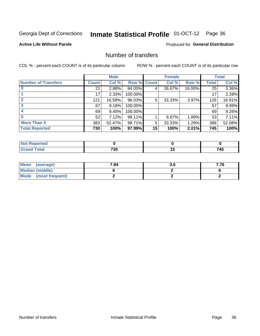## Inmate Statistical Profile 01-OCT-12 Page 36

### **Active Life Without Parole**

### **Produced for General Distribution**

## Number of transfers

COL % - percent each COUNT is of its particular column

|                            |         | <b>Male</b> |         |                 | <b>Female</b> |        |              | <b>Total</b> |
|----------------------------|---------|-------------|---------|-----------------|---------------|--------|--------------|--------------|
| <b>Number of Transfers</b> | Count l | Col %       | Row %   | <b>Count</b>    | Col %         | Row %  | <b>Total</b> | Col %        |
|                            | 21      | 2.88%       | 84.00%  | 4               | 26.67%        | 16.00% | 25           | 3.36%        |
|                            | 17      | 2.33%       | 100.00% |                 |               |        | 17           | 2.28%        |
|                            | 121     | 16.58%      | 96.03%  | 5               | 33.33%        | 3.97%  | 126          | 16.91%       |
| 3                          | 67      | 9.18%       | 100.00% |                 |               |        | 67           | 8.99%        |
|                            | 69      | 9.45%       | 100.00% |                 |               |        | 69           | 9.26%        |
| 5                          | 52      | 7.12%       | 98.11%  |                 | 6.67%         | 1.89%  | 53           | 7.11%        |
| <b>More Than 5</b>         | 383     | 52.47%      | 98.71%  | 5               | 33.33%        | 1.29%  | 388          | 52.08%       |
| <b>Total Reported</b>      | 730     | 100%        | 97.99%  | 15 <sup>1</sup> | 100%          | 2.01%  | 745          | 100%         |

| prted<br>NOT. |     |     |
|---------------|-----|-----|
| Total         | 730 | 745 |

| Mean (average)       | 7.84 | J.U | 7.76 |
|----------------------|------|-----|------|
| Median (middle)      |      |     |      |
| Mode (most frequent) |      |     |      |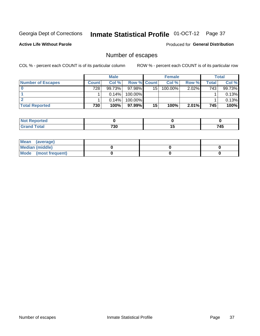## Inmate Statistical Profile 01-OCT-12 Page 37

**Active Life Without Parole** 

**Produced for General Distribution** 

## Number of escapes

COL % - percent each COUNT is of its particular column

|                          |              | <b>Male</b> |                    |    | <b>Female</b> |       |       | Total  |
|--------------------------|--------------|-------------|--------------------|----|---------------|-------|-------|--------|
| <b>Number of Escapes</b> | <b>Count</b> | Col %       | <b>Row % Count</b> |    | Col %         | Row % | Total | Col %  |
|                          | 728          | 99.73%      | $97.98\%$          | 15 | $100.00\%$    | 2.02% | 743   | 99.73% |
|                          |              | 0.14%       | 100.00%            |    |               |       |       | 0.13%  |
|                          |              | 0.14%       | $100.00\%$         |    |               |       |       | 0.13%  |
| <b>Total Reported</b>    | 730          | 100%        | $97.99\%$          | 15 | 100%          | 2.01% | 745   | 100%   |

| <b>Not Reported</b> |     |              |
|---------------------|-----|--------------|
| Total<br>Grar       | 730 | 71F<br>. – J |

| Mean (average)       |  |  |
|----------------------|--|--|
| Median (middle)      |  |  |
| Mode (most frequent) |  |  |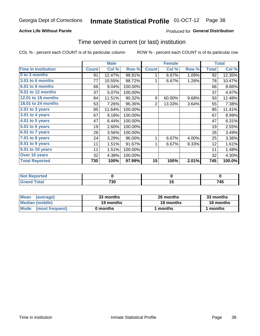#### Inmate Statistical Profile 01-OCT-12 Page 38

### **Active Life Without Parole**

### Produced for General Distribution

## Time served in current (or last) institution

COL % - percent each COUNT is of its particular column

|                            |              | <b>Male</b> |         |                | <b>Female</b> |       |              | <b>Total</b> |
|----------------------------|--------------|-------------|---------|----------------|---------------|-------|--------------|--------------|
| <b>Time In Institution</b> | <b>Count</b> | Col %       | Row %   | <b>Count</b>   | Col %         | Row % | <b>Total</b> | Col %        |
| 0 to 3 months              | 91           | 12.47%      | 98.91%  | 1              | 6.67%         | 1.09% | 92           | 12.35%       |
| 3.01 to 6 months           | 77           | 10.55%      | 98.72%  | 1              | 6.67%         | 1.28% | 78           | 10.47%       |
| 6.01 to 9 months           | 66           | 9.04%       | 100.00% |                |               |       | 66           | 8.86%        |
| 9.01 to 12 months          | 37           | 5.07%       | 100.00% |                |               |       | 37           | 4.97%        |
| 12.01 to 18 months         | 84           | 11.51%      | 90.32%  | 9              | 60.00%        | 9.68% | 93           | 12.48%       |
| <b>18.01 to 24 months</b>  | 53           | 7.26%       | 96.36%  | $\overline{2}$ | 13.33%        | 3.64% | 55           | 7.38%        |
| $2.01$ to 3 years          | 85           | 11.64%      | 100.00% |                |               |       | 85           | 11.41%       |
| 3.01 to 4 years            | 67           | 9.18%       | 100.00% |                |               |       | 67           | 8.99%        |
| 4.01 to 5 years            | 47           | 6.44%       | 100.00% |                |               |       | 47           | 6.31%        |
| $5.01$ to 6 years          | 19           | 2.60%       | 100.00% |                |               |       | 19           | 2.55%        |
| 6.01 to 7 years            | 26           | 3.56%       | 100.00% |                |               |       | 26           | 3.49%        |
| $7.01$ to 8 years          | 24           | 3.29%       | 96.00%  | 1              | 6.67%         | 4.00% | 25           | 3.36%        |
| $8.01$ to 9 years          | 11           | 1.51%       | 91.67%  | 1              | 6.67%         | 8.33% | 12           | 1.61%        |
| 9.01 to 10 years           | 11           | 1.51%       | 100.00% |                |               |       | 11           | 1.48%        |
| Over 10 years              | 32           | 4.38%       | 100.00% |                |               |       | 32           | 4.30%        |
| <b>Total Reported</b>      | 730          | 100%        | 97.99%  | 15             | 100%          | 2.01% | 745          | 100.0%       |

| Reported<br>NOT F |     |     |           |
|-------------------|-----|-----|-----------|
| $T_{\alpha}$ ial  | 730 | . . | 745<br>__ |

| <b>Mean</b><br>(average) | 33 months | 26 months | 33 months |  |
|--------------------------|-----------|-----------|-----------|--|
| Median (middle)          | 19 months | 18 months | 18 months |  |
| Mode (most frequent)     | 0 months  | 1 months  | 1 months  |  |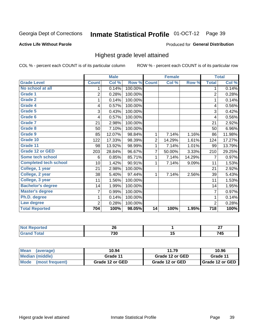## Inmate Statistical Profile 01-OCT-12 Page 39

### **Active Life Without Parole**

#### Produced for General Distribution

## Highest grade level attained

COL % - percent each COUNT is of its particular column

|                              |                 | <b>Male</b> |         |                 | <b>Female</b> |        |                  | <b>Total</b> |
|------------------------------|-----------------|-------------|---------|-----------------|---------------|--------|------------------|--------------|
| <b>Grade Level</b>           | <b>Count</b>    | Col %       | Row %   | <b>Count</b>    | Col %         | Row %  | <b>Total</b>     | Col %        |
| No school at all             | 1               | 0.14%       | 100.00% |                 |               |        | 1                | 0.14%        |
| <b>Grade 1</b>               | $\overline{c}$  | 0.28%       | 100.00% |                 |               |        | $\overline{c}$   | 0.28%        |
| <b>Grade 2</b>               | 1               | 0.14%       | 100.00% |                 |               |        | 1                | 0.14%        |
| Grade 4                      | 4               | 0.57%       | 100.00% |                 |               |        | 4                | 0.56%        |
| Grade 5                      | 3               | 0.43%       | 100.00% |                 |               |        | 3                | 0.42%        |
| Grade 6                      | 4               | 0.57%       | 100.00% |                 |               |        | 4                | 0.56%        |
| <b>Grade 7</b>               | 21              | 2.98%       | 100.00% |                 |               |        | 21               | 2.92%        |
| <b>Grade 8</b>               | 50              | 7.10%       | 100.00% |                 |               |        | 50               | 6.96%        |
| <b>Grade 9</b>               | 85              | 12.07%      | 98.84%  | 1               | 7.14%         | 1.16%  | 86               | 11.98%       |
| Grade 10                     | 122             | 17.33%      | 98.39%  | $\overline{c}$  | 14.29%        | 1.61%  | 124              | 17.27%       |
| Grade 11                     | 98              | 13.92%      | 98.99%  | 1               | 7.14%         | 1.01%  | 99               | 13.79%       |
| <b>Grade 12 or GED</b>       | 203             | 28.84%      | 96.67%  | 7               | 50.00%        | 3.33%  | 210              | 29.25%       |
| <b>Some tech school</b>      | 6               | 0.85%       | 85.71%  | 1               | 7.14%         | 14.29% | 7                | 0.97%        |
| <b>Completed tech school</b> | 10 <sup>1</sup> | 1.42%       | 90.91%  | 1               | 7.14%         | 9.09%  | 11               | 1.53%        |
| College, 1 year              | 21              | 2.98%       | 100.00% |                 |               |        | 21               | 2.92%        |
| College, 2 year              | 38              | 5.40%       | 97.44%  | 1               | 7.14%         | 2.56%  | 39               | 5.43%        |
| College, 3 year              | 11              | 1.56%       | 100.00% |                 |               |        | 11               | 1.53%        |
| <b>Bachelor's degree</b>     | 14              | 1.99%       | 100.00% |                 |               |        | 14               | 1.95%        |
| <b>Master's degree</b>       | 7               | 0.99%       | 100.00% |                 |               |        | 7                | 0.97%        |
| Ph.D. degree                 | 1               | 0.14%       | 100.00% |                 |               |        | 1                | 0.14%        |
| Law degree                   | 2               | 0.28%       | 100.00% |                 |               |        | $\overline{2}$   | 0.28%        |
| <b>Total Reported</b>        | 704             | 100%        | 98.05%  | $\overline{14}$ | 100%          | 1.95%  | $\overline{718}$ | 100%         |

| orreg | n e<br>ZU  |    | $\sim$<br>-- |
|-------|------------|----|--------------|
| īota. | 701<br>13L | יי | - - -<br>743 |

| <b>Mean</b><br>(average)       | 11.79<br>10.94  |                 | 10.96             |
|--------------------------------|-----------------|-----------------|-------------------|
| Median (middle)                | Grade 11        | Grade 12 or GED | Grade 11          |
| <b>Mode</b><br>(most frequent) | Grade 12 or GED | Grade 12 or GED | I Grade 12 or GED |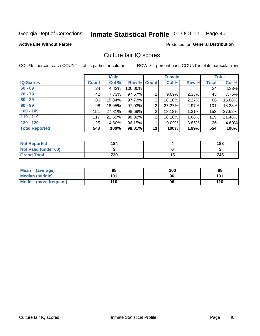# Inmate Statistical Profile 01-OCT-12 Page 40

### **Active Life Without Parole**

### **Produced for General Distribution**

## Culture fair IQ scores

COL % - percent each COUNT is of its particular column

|                       |         | <b>Male</b> |             |    | <b>Female</b> |          |              | <b>Total</b> |
|-----------------------|---------|-------------|-------------|----|---------------|----------|--------------|--------------|
| <b>IQ Scores</b>      | Count l | Col %       | Row % Count |    | Col %         | Row %    | <b>Total</b> | Col %        |
| $60 - 69$             | 24      | 4.42%       | 100.00%     |    |               |          | 24           | 4.33%        |
| $70 - 79$             | 42      | 7.73%       | 97.67%      |    | $9.09\%$      | 2.33%    | 43           | 7.76%        |
| $80 - 89$             | 86      | 15.84%      | 97.73%      | 2  | 18.18%        | 2.27%    | 88           | 15.88%       |
| $90 - 99$             | 98      | 18.05%      | 97.03%      | 3  | 27.27%        | 2.97%    | 101          | 18.23%       |
| $100 - 109$           | 151     | 27.81%      | 98.69%      | 2  | 18.18%        | 1.31%    | 153          | 27.62%       |
| $110 - 119$           | 117     | 21.55%      | 98.32%      | 2  | 18.18%        | 1.68%    | 119          | 21.48%       |
| $120 - 129$           | 25      | 4.60%       | 96.15%      |    | 9.09%         | $3.85\%$ | 26           | 4.69%        |
| <b>Total Reported</b> | 543     | 100%        | 98.01%      | 11 | 100%          | 1.99%    | 554          | 100%         |

| <b>Not Reported</b>         | 184 |     | 188 |
|-----------------------------|-----|-----|-----|
| <b>Not Valid (under 60)</b> |     |     |     |
| <b>Grand Total</b>          | 730 | u J | 745 |

| Mean (average)       | 98  | 100 | 98  |
|----------------------|-----|-----|-----|
| Median (middle)      | 101 | 96  | 101 |
| Mode (most frequent) | 110 | 96  | 110 |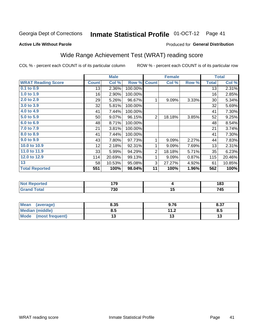#### **Inmate Statistical Profile 01-OCT-12** Page 41

#### **Active Life Without Parole**

### **Produced for General Distribution**

## Wide Range Achievement Test (WRAT) reading score

COL % - percent each COUNT is of its particular column

|                                                                        |              | <b>Male</b>    |         |                | <b>Female</b> |       |              | <b>Total</b>   |
|------------------------------------------------------------------------|--------------|----------------|---------|----------------|---------------|-------|--------------|----------------|
| <b>WRAT Reading Score</b>                                              | <b>Count</b> | Col %          | Row %   | <b>Count</b>   | Col %         | Row % | <b>Total</b> | Col %          |
| 0.1 to 0.9                                                             | 13           | 2.36%          | 100.00% |                |               |       | 13           | 2.31%          |
| 1.0 to 1.9                                                             | 16           | 2.90%          | 100.00% |                |               |       | 16           | 2.85%          |
| 2.0 to 2.9                                                             | 29           | 5.26%          | 96.67%  | 1              | 9.09%         | 3.33% | 30           | 5.34%          |
| 3.0 to 3.9                                                             | 32           | 5.81%          | 100.00% |                |               |       | 32           | 5.69%          |
| 4.0 to 4.9                                                             | 41           | 7.44%          | 100.00% |                |               |       | 41           | 7.30%          |
| 5.0 to 5.9                                                             | 50           | 9.07%          | 96.15%  | $\overline{2}$ | 18.18%        | 3.85% | 52           | 9.25%          |
| 6.0 to 6.9                                                             | 48           | 8.71%          | 100.00% |                |               |       | 48           | 8.54%          |
| 7.0 to 7.9                                                             | 21           | 3.81%          | 100.00% |                |               |       | 21           | 3.74%          |
| 8.0 to 8.9                                                             | 41           | 7.44%          | 100.00% |                |               |       | 41           | 7.30%          |
| 9.0 to 9.9                                                             | 43           | 7.80%          | 97.73%  | 1              | 9.09%         | 2.27% | 44           | 7.83%          |
| 10.0 to 10.9                                                           | 12           | 2.18%          | 92.31%  | 1              | 9.09%         | 7.69% | 13           | 2.31%          |
| 11.0 to 11.9                                                           | 33           | 5.99%          | 94.29%  | $\overline{2}$ | 18.18%        | 5.71% | 35           | 6.23%          |
| 12.0 to 12.9                                                           | 114          | 20.69%         | 99.13%  | 1              | 9.09%         | 0.87% | 115          | 20.46%         |
| 13                                                                     | 58           | 10.53%         | 95.08%  | 3              | 27.27%        | 4.92% | 61           | 10.85%         |
| <b>Total Reported</b>                                                  | 551          | 100%           | 98.04%  | 11             | 100%          | 1.96% | 562          | 100%           |
|                                                                        |              |                |         |                |               |       |              |                |
| <b>Contract Contract Contract</b><br><b>Contract Contract Contract</b> |              | $\overline{a}$ |         |                |               |       |              | $\overline{1}$ |

| orreg                  | .<br>70<br>.<br>$\sim$ |              | ,<br>183<br>- -                 |
|------------------------|------------------------|--------------|---------------------------------|
| int<br>------<br>_____ | 730                    | יי<br>$\sim$ | - - -<br>. Л.<br>. 4J<br>$\sim$ |

| <b>Mean</b><br>(average)       | 8.35 | 9.76                | 0.27<br>0.31 |
|--------------------------------|------|---------------------|--------------|
| <b>Median (middle)</b>         | 8.5  | 112<br>. . <u>.</u> | o.ວ          |
| <b>Mode</b><br>(most frequent) |      |                     | IJ           |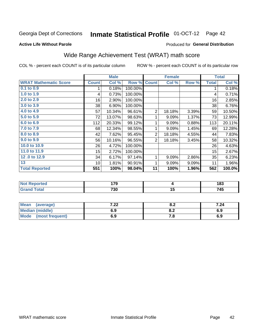#### Inmate Statistical Profile 01-OCT-12 Page 42

#### **Active Life Without Parole**

#### Produced for General Distribution

## Wide Range Achievement Test (WRAT) math score

COL % - percent each COUNT is of its particular column

|                              | <b>Male</b>      |        | <b>Female</b> |                |                 | <b>Total</b> |              |        |
|------------------------------|------------------|--------|---------------|----------------|-----------------|--------------|--------------|--------|
| <b>WRAT Mathematic Score</b> | <b>Count</b>     | Col %  | Row %         | <b>Count</b>   | Col %           | Row %        | <b>Total</b> | Col %  |
| 0.1 to 0.9                   | 1                | 0.18%  | 100.00%       |                |                 |              | 1            | 0.18%  |
| 1.0 to 1.9                   | 4                | 0.73%  | 100.00%       |                |                 |              | 4            | 0.71%  |
| 2.0 to 2.9                   | 16               | 2.90%  | 100.00%       |                |                 |              | 16           | 2.85%  |
| 3.0 to 3.9                   | 38               | 6.90%  | 100.00%       |                |                 |              | 38           | 6.76%  |
| 4.0 to 4.9                   | 57               | 10.34% | 96.61%        | $\sqrt{2}$     | 18.18%          | 3.39%        | 59           | 10.50% |
| 5.0 to 5.9                   | 72               | 13.07% | 98.63%        | 1              | 9.09%           | 1.37%        | 73           | 12.99% |
| 6.0 to 6.9                   | 112              | 20.33% | 99.12%        | 1              | 9.09%           | 0.88%        | 113          | 20.11% |
| 7.0 to 7.9                   | 68               | 12.34% | 98.55%        | 1              | 9.09%           | 1.45%        | 69           | 12.28% |
| 8.0 to 8.9                   | 42               | 7.62%  | 95.45%        | $\overline{2}$ | 18.18%          | 4.55%        | 44           | 7.83%  |
| 9.0 to 9.9                   | 56               | 10.16% | 96.55%        | $\overline{2}$ | 18.18%          | 3.45%        | 58           | 10.32% |
| 10.0 to 10.9                 | 26               | 4.72%  | 100.00%       |                |                 |              | 26           | 4.63%  |
| 11.0 to $11.9$               | 15 <sub>15</sub> | 2.72%  | 100.00%       |                |                 |              | 15           | 2.67%  |
| 12.0 to 12.9                 | 34               | 6.17%  | 97.14%        | 1              | 9.09%           | 2.86%        | 35           | 6.23%  |
| 13                           | 10               | 1.81%  | 90.91%        | 1              | 9.09%           | 9.09%        | 11           | 1.96%  |
| <b>Total Reported</b>        | 551              | 100%   | 98.04%        | 11             | 100%            | 1.96%        | 562          | 100.0% |
|                              |                  |        |               |                |                 |              |              |        |
| <b>Not Reported</b>          |                  | 179    |               |                | 4               |              |              | 183    |
| <b>Grand Total</b>           |                  | 730    |               |                | $\overline{15}$ |              |              | 745    |

| Mean (average)         | ר ר<br>.22 | о о<br>o.z | 7.24 |
|------------------------|------------|------------|------|
| <b>Median (middle)</b> | 6.9        | o.z        | 6.9  |
| Mode (most frequent)   | 6.9        | 7. O       | 6.9  |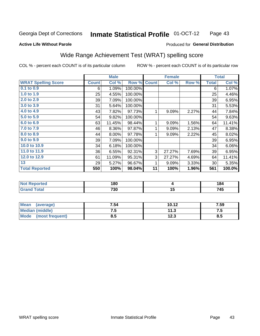#### **Inmate Statistical Profile 01-OCT-12** Page 43

#### **Active Life Without Parole**

### Produced for General Distribution

## Wide Range Achievement Test (WRAT) spelling score

COL % - percent each COUNT is of its particular column

|                                     |              | <b>Male</b>      |         |              | <b>Female</b>  |       |              | <b>Total</b> |
|-------------------------------------|--------------|------------------|---------|--------------|----------------|-------|--------------|--------------|
| <b>WRAT Spelling Score</b>          | <b>Count</b> | Col %            | Row %   | <b>Count</b> | Col %          | Row % | <b>Total</b> | Col %        |
| $0.1$ to $0.9$                      | 6            | 1.09%            | 100.00% |              |                |       | 6            | 1.07%        |
| 1.0 to 1.9                          | 25           | 4.55%            | 100.00% |              |                |       | 25           | 4.46%        |
| 2.0 to 2.9                          | 39           | 7.09%            | 100.00% |              |                |       | 39           | 6.95%        |
| 3.0 to 3.9                          | 31           | 5.64%            | 100.00% |              |                |       | 31           | 5.53%        |
| 4.0 to 4.9                          | 43           | 7.82%            | 97.73%  | 1            | 9.09%          | 2.27% | 44           | 7.84%        |
| 5.0 to 5.9                          | 54           | 9.82%            | 100.00% |              |                |       | 54           | 9.63%        |
| 6.0 to 6.9                          | 63           | 11.45%           | 98.44%  | 1            | 9.09%          | 1.56% | 64           | 11.41%       |
| 7.0 to 7.9                          | 46           | 8.36%            | 97.87%  | 1            | 9.09%          | 2.13% | 47           | 8.38%        |
| 8.0 to 8.9                          | 44           | 8.00%            | 97.78%  | 1            | 9.09%          | 2.22% | 45           | 8.02%        |
| 9.0 to 9.9                          | 39           | 7.09%            | 100.00% |              |                |       | 39           | 6.95%        |
| 10.0 to 10.9                        | 34           | 6.18%            | 100.00% |              |                |       | 34           | 6.06%        |
| 11.0 to 11.9                        | 36           | 6.55%            | 92.31%  | 3            | 27.27%         | 7.69% | 39           | 6.95%        |
| 12.0 to 12.9                        | 61           | 11.09%           | 95.31%  | 3            | 27.27%         | 4.69% | 64           | 11.41%       |
| 13                                  | 29           | 5.27%            | 96.67%  | 1            | 9.09%          | 3.33% | 30           | 5.35%        |
| <b>Total Reported</b>               | 550          | 100%             | 98.04%  | 11           | 100%           | 1.96% | 561          | 100.0%       |
|                                     |              |                  |         |              |                |       |              |              |
| <b>All and Photographs and Call</b> |              | $\overline{100}$ |         |              | $\blacksquare$ |       |              | 101          |

| 'No.<br>eported       | ιoυ |            |
|-----------------------|-----|------------|
| <b>otal</b><br>$\sim$ | 730 | 'A E<br>т. |

| <b>Mean</b><br>(average)       | 7.54 | 10.12        | 7.59 |
|--------------------------------|------|--------------|------|
| Median (middle)                | ن. ا | 11.3         | ن. ا |
| <b>Mode</b><br>(most frequent) | 8.5  | 122<br>1 Z.J | ช.ว  |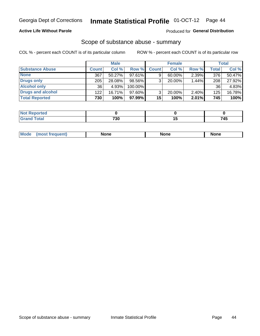### **Active Life Without Parole**

### **Produced for General Distribution**

### Scope of substance abuse - summary

COL % - percent each COUNT is of its particular column

|                        | <b>Male</b>  |           | <b>Female</b> |                 |           | <b>Total</b> |              |        |
|------------------------|--------------|-----------|---------------|-----------------|-----------|--------------|--------------|--------|
| <b>Substance Abuse</b> | <b>Count</b> | Col %     | Row %         | <b>Count</b>    | Col %     | Row %        | <b>Total</b> | Col %  |
| <b>None</b>            | 367          | $50.27\%$ | 97.61%        |                 | $60.00\%$ | $2.39\%$     | 376          | 50.47% |
| <b>Drugs only</b>      | 205          | 28.08%    | 98.56%        |                 | $20.00\%$ | 1.44%        | 208          | 27.92% |
| <b>Alcohol only</b>    | 36           | 4.93%     | 100.00%       |                 |           |              | 36           | 4.83%  |
| Drugs and alcohol      | 122          | $16.71\%$ | 97.60%        |                 | $20.00\%$ | $2.40\%$     | 125          | 16.78% |
| <b>Total Reported</b>  | 730          | 100%      | 97.99% I      | 15 <sup>1</sup> | 100%      | 2.01%        | 745          | 100%   |

| <b>Not</b><br>Reported       |     |     |
|------------------------------|-----|-----|
| <b>Total</b><br><b>Grand</b> | 730 | 7AP |

| <b>Mod</b><br>'one<br>None<br><b>None</b> |
|-------------------------------------------|
|-------------------------------------------|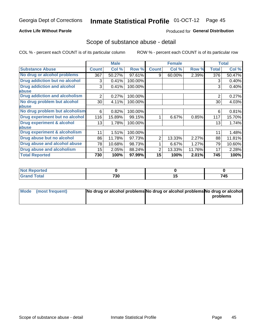### **Active Life Without Parole**

### **Produced for General Distribution**

### Scope of substance abuse - detail

COL % - percent each COUNT is of its particular column

|                                      |                 | <b>Male</b> |         |              | <b>Female</b> |        |                | <b>Total</b> |
|--------------------------------------|-----------------|-------------|---------|--------------|---------------|--------|----------------|--------------|
| <b>Substance Abuse</b>               | <b>Count</b>    | Col %       | Row %   | <b>Count</b> | Col %         | Row %  | Total          | Col %        |
| No drug or alcohol problems          | 367             | 50.27%      | 97.61%  | 9            | 60.00%        | 2.39%  | 376            | 50.47%       |
| Drug addiction but no alcohol        | 3               | 0.41%       | 100.00% |              |               |        | 3              | 0.40%        |
| <b>Drug addiction and alcohol</b>    | 3               | 0.41%       | 100.00% |              |               |        | 3              | 0.40%        |
| abuse                                |                 |             |         |              |               |        |                |              |
| <b>Drug addiction and alcoholism</b> | 2               | 0.27%       | 100.00% |              |               |        | $\overline{2}$ | 0.27%        |
| No drug problem but alcohol          | 30              | 4.11%       | 100.00% |              |               |        | 30             | 4.03%        |
| abuse                                |                 |             |         |              |               |        |                |              |
| No drug problem but alcoholism       | 6               | 0.82%       | 100.00% |              |               |        | 6              | 0.81%        |
| Drug experiment but no alcohol       | 116             | 15.89%      | 99.15%  |              | 6.67%         | 0.85%  | 117            | 15.70%       |
| <b>Drug experiment &amp; alcohol</b> | 13 <sup>1</sup> | 1.78%       | 100.00% |              |               |        | 13             | 1.74%        |
| abuse                                |                 |             |         |              |               |        |                |              |
| Drug experiment & alcoholism         | 11              | 1.51%       | 100.00% |              |               |        | 11             | 1.48%        |
| Drug abuse but no alcohol            | 86              | 11.78%      | 97.73%  | 2            | 13.33%        | 2.27%  | 88             | 11.81%       |
| Drug abuse and alcohol abuse         | 78              | 10.68%      | 98.73%  |              | 6.67%         | 1.27%  | 79             | 10.60%       |
| <b>Drug abuse and alcoholism</b>     | 15              | 2.05%       | 88.24%  | 2            | 13.33%        | 11.76% | 17             | 2.28%        |
| <b>Total Reported</b>                | 730             | 100%        | 97.99%  | 15           | 100%          | 2.01%  | 745            | 100%         |

| portea                 |                                |                 |     |
|------------------------|--------------------------------|-----------------|-----|
| $\sim$ $\sim$<br>_____ | 730<br>$\cdot$ $\cdot$ $\cdot$ | $\cdot$ $\cdot$ | 745 |

| Mode (most frequent) | No drug or alcohol problems No drug or alcohol problems No drug or alcohol |          |
|----------------------|----------------------------------------------------------------------------|----------|
|                      |                                                                            | problems |
|                      |                                                                            |          |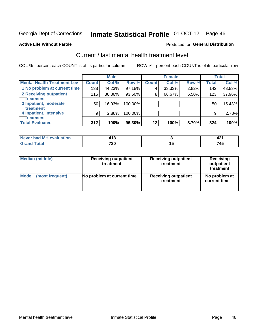# Inmate Statistical Profile 01-OCT-12 Page 46

#### **Active Life Without Parole**

#### Produced for General Distribution

## Current / last mental health treatment level

COL % - percent each COUNT is of its particular column

|                                    |              | <b>Male</b> |            |              | <b>Female</b> |       |       | <b>Total</b> |
|------------------------------------|--------------|-------------|------------|--------------|---------------|-------|-------|--------------|
| <b>Mental Health Treatment Lev</b> | <b>Count</b> | Col%        | Row %      | <b>Count</b> | Col %         | Row % | Total | Col %        |
| 1 No problem at current time       | 138          | 44.23%      | 97.18%     | 4            | 33.33%        | 2.82% | 142   | 43.83%       |
| 2 Receiving outpatient             | 115          | 36.86%      | 93.50%     | 8            | 66.67%        | 6.50% | 123   | 37.96%       |
| <b>Treatment</b>                   |              |             |            |              |               |       |       |              |
| 3 Inpatient, moderate              | 50           | 16.03%      | $100.00\%$ |              |               |       | 50    | 15.43%       |
| Treatment                          |              |             |            |              |               |       |       |              |
| 4 Inpatient, intensive             | 9            | 2.88%       | 100.00%    |              |               |       | 9     | 2.78%        |
| <b>Treatment</b>                   |              |             |            |              |               |       |       |              |
| <b>Total Evaluated</b>             | 312          | 100%        | 96.30%     | $12 \,$      | 100%          | 3.70% | 324   | 100%         |

| Never had MH evaluation | - 10 |     |
|-------------------------|------|-----|
| Total                   | 730  | 745 |

| <b>Median (middle)</b> | <b>Receiving outpatient</b><br>treatment | <b>Receiving outpatient</b><br>treatment | <b>Receiving</b><br>outpatient<br>treatment |  |  |
|------------------------|------------------------------------------|------------------------------------------|---------------------------------------------|--|--|
| <b>Mode</b>            | No problem at current time               | <b>Receiving outpatient</b>              | No problem at                               |  |  |
| (most frequent)        |                                          | treatment                                | current time                                |  |  |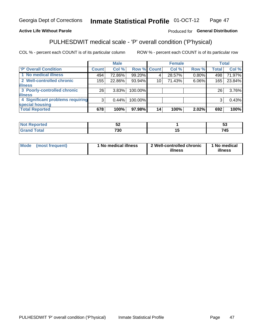#### **Inmate Statistical Profile 01-OCT-12** Page 47

### **Active Life Without Parole**

### Produced for General Distribution

## PULHESDWIT medical scale - 'P' overall condition ('P'hysical)

COL % - percent each COUNT is of its particular column

|                                  |                 | <b>Male</b> |             |    | <b>Female</b> |       |                 | <b>Total</b> |
|----------------------------------|-----------------|-------------|-------------|----|---------------|-------|-----------------|--------------|
| 'P' Overall Condition            | Count l         | Col %       | Row % Count |    | Col %         | Row % | <b>Total</b>    | Col %        |
| 1 No medical illness             | 494             | 72.86%      | 99.20%      |    | 28.57%        | 0.80% | 498             | 71.97%       |
| 2 Well-controlled chronic        | 155             | 22.86%      | 93.94%      | 10 | 71.43%        | 6.06% | 165             | 23.84%       |
| <b>illness</b>                   |                 |             |             |    |               |       |                 |              |
| 3 Poorly-controlled chronic      | 26 <sub>1</sub> | 3.83%       | 100.00%     |    |               |       | 26 <sub>1</sub> | 3.76%        |
| <b>illness</b>                   |                 |             |             |    |               |       |                 |              |
| 4 Significant problems requiring | 3               | 0.44%       | 100.00%     |    |               |       | 3               | 0.43%        |
| special housing                  |                 |             |             |    |               |       |                 |              |
| <b>Total Reported</b>            | 678             | 100%        | 97.98%      | 14 | 100%          | 2.02% | 692             | 100%         |

|        | _          |    | ◡            |
|--------|------------|----|--------------|
| ______ | 700<br>JJ. | __ | - - -<br>' л |

| <b>Mode</b> | (most frequent) | 1 No medical illness | 2 Well-controlled chronic<br>illness | 1 No medical<br>illness |
|-------------|-----------------|----------------------|--------------------------------------|-------------------------|
|-------------|-----------------|----------------------|--------------------------------------|-------------------------|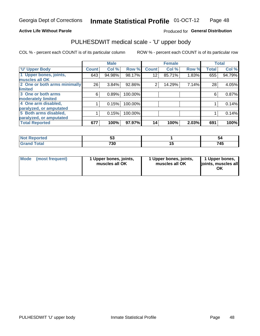#### **Active Life Without Parole**

### Produced for General Distribution

# PULHESDWIT medical scale - 'U' upper body

COL % - percent each COUNT is of its particular column

|                              |              | <b>Male</b> |         |                 | <b>Female</b> |       |              | <b>Total</b> |
|------------------------------|--------------|-------------|---------|-----------------|---------------|-------|--------------|--------------|
| <b>'U' Upper Body</b>        | <b>Count</b> | Col %       | Row %   | <b>Count</b>    | Col %         | Row % | <b>Total</b> | Col %        |
| 1 Upper bones, joints,       | 643          | 94.98%      | 98.17%  | 12 <sup>2</sup> | 85.71%        | 1.83% | 655          | 94.79%       |
| muscles all OK               |              |             |         |                 |               |       |              |              |
| 2 One or both arms minimally | 26           | 3.84%       | 92.86%  | $\overline{2}$  | 14.29%        | 7.14% | 28           | 4.05%        |
| limited                      |              |             |         |                 |               |       |              |              |
| 3 One or both arms           | 6            | 0.89%       | 100.00% |                 |               |       | 6            | 0.87%        |
| moderately limited           |              |             |         |                 |               |       |              |              |
| 4 One arm disabled,          |              | 0.15%       | 100.00% |                 |               |       |              | 0.14%        |
| paralyzed, or amputated      |              |             |         |                 |               |       |              |              |
| 5 Both arms disabled,        |              | 0.15%       | 100.00% |                 |               |       |              | 0.14%        |
| paralyzed, or amputated      |              |             |         |                 |               |       |              |              |
| <b>Total Reported</b>        | 677          | 100%        | 97.97%  | 14              | 100%          | 2.03% | 691          | 100%         |

| <b>Not Reported</b>              | Ju.       | 54  |
|----------------------------------|-----------|-----|
| <b>Total</b><br>Gran<br>ا الله ا | 700<br>ാ∪ | 745 |

| Mode (most frequent) | 1 Upper bones, joints,<br>muscles all OK | 1 Upper bones, joints,<br>muscles all OK | 1 Upper bones,<br>joints, muscles all<br>ΟK |
|----------------------|------------------------------------------|------------------------------------------|---------------------------------------------|
|----------------------|------------------------------------------|------------------------------------------|---------------------------------------------|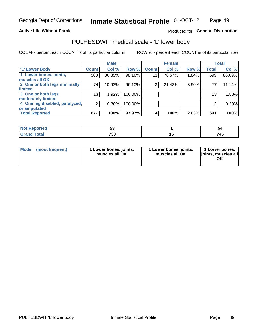#### **Active Life Without Parole**

### Produced for General Distribution

## PULHESDWIT medical scale - 'L' lower body

COL % - percent each COUNT is of its particular column

|                                |                | <b>Male</b> |         |              | <b>Female</b> |       |                 | <b>Total</b> |
|--------------------------------|----------------|-------------|---------|--------------|---------------|-------|-----------------|--------------|
| 'L' Lower Body                 | <b>Count</b>   | Col %       | Row %   | <b>Count</b> | Col %         | Row % | <b>Total</b>    | Col %        |
| 1 Lower bones, joints,         | 588            | 86.85%      | 98.16%  | 11           | 78.57%        | 1.84% | 599             | 86.69%       |
| muscles all OK                 |                |             |         |              |               |       |                 |              |
| 2 One or both legs minimally   | 74             | 10.93%      | 96.10%  | 3            | 21.43%        | 3.90% | 77              | 11.14%       |
| limited                        |                |             |         |              |               |       |                 |              |
| 3 One or both legs             | 13             | 1.92%       | 100.00% |              |               |       | 13 <sub>1</sub> | 1.88%        |
| moderately limited             |                |             |         |              |               |       |                 |              |
| 4 One leg disabled, paralyzed, | $\overline{2}$ | 0.30%       | 100.00% |              |               |       | 2               | 0.29%        |
| or amputated                   |                |             |         |              |               |       |                 |              |
| <b>Total Reported</b>          | 677            | 100%        | 97.97%  | 14           | 100%          | 2.03% | 691             | 100%         |

| <b>prted</b><br><b>NOT.</b><br>$\cdots$ | <u>Ju</u>   | ວະ  |
|-----------------------------------------|-------------|-----|
| <b>Total</b><br>_____                   | 700<br>טכ ו | 74F |

| Mode | (most frequent) | 1 Lower bones, joints,<br>muscles all OK | 1 Lower bones, joints,<br>muscles all OK | 1 Lower bones,<br>ljoints, muscles all<br>ΟK |
|------|-----------------|------------------------------------------|------------------------------------------|----------------------------------------------|
|------|-----------------|------------------------------------------|------------------------------------------|----------------------------------------------|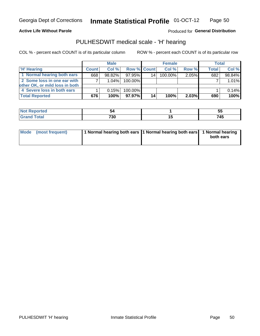**Active Life Without Parole** 

Produced for General Distribution

## PULHESDWIT medical scale - 'H' hearing

COL % - percent each COUNT is of its particular column

|                                | <b>Male</b>  |        | <b>Female</b>      |    |         | <b>Total</b> |              |        |
|--------------------------------|--------------|--------|--------------------|----|---------|--------------|--------------|--------|
| <b>'H' Hearing</b>             | <b>Count</b> | Col %  | <b>Row % Count</b> |    | Col %   | Row %        | <b>Total</b> | Col %  |
| 1 Normal hearing both ears     | 668          | 98.82% | 97.95%             | 14 | 100.00% | 2.05%        | 682          | 98.84% |
| 2 Some loss in one ear with    |              | 1.04%  | 100.00%            |    |         |              |              | 1.01%  |
| other OK, or mild loss in both |              |        |                    |    |         |              |              |        |
| 4 Severe loss in both ears     |              | 0.15%  | 100.00%            |    |         |              |              | 0.14%  |
| <b>Total Reported</b>          | 676          | 100%   | 97.97%             | 14 | 100%    | $2.03\%$     | 690          | 100%   |

| нао |     | $ -$<br>◡ |
|-----|-----|-----------|
|     | 730 | 745       |

| Mode (most frequent) | 1 Normal hearing both ears 1 Normal hearing both ears 1 Normal hearing |           |
|----------------------|------------------------------------------------------------------------|-----------|
|                      |                                                                        | both ears |
|                      |                                                                        |           |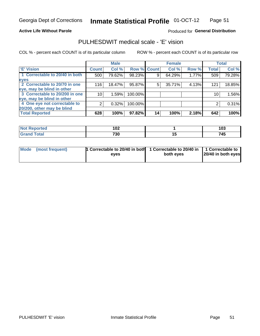#### **Active Life Without Parole**

### Produced for General Distribution

## PULHESDWIT medical scale - 'E' vision

COL % - percent each COUNT is of its particular column

|                                |              | <b>Male</b> |             |    | <b>Female</b> |       |              | <b>Total</b> |
|--------------------------------|--------------|-------------|-------------|----|---------------|-------|--------------|--------------|
| <b>E' Vision</b>               | <b>Count</b> | Col %       | Row % Count |    | Col %         | Row % | <b>Total</b> | Col %        |
| 1 Correctable to 20/40 in both | 500          | 79.62%      | 98.23%      |    | 64.29%        | 1.77% | 509          | 79.28%       |
| eyes                           |              |             |             |    |               |       |              |              |
| 2 Correctable to 20/70 in one  | 116          | 18.47%      | 95.87%      | 5  | 35.71%        | 4.13% | 121          | 18.85%       |
| eye, may be blind in other     |              |             |             |    |               |       |              |              |
| 3 Correctable to 20/200 in one | 10           | 1.59%       | 100.00%     |    |               |       | 10           | 1.56%        |
| eye, may be blind in other     |              |             |             |    |               |       |              |              |
| 4 One eye not correctable to   | 2            | 0.32%       | 100.00%     |    |               |       | 2            | 0.31%        |
| 20/200, other may be blind     |              |             |             |    |               |       |              |              |
| <b>Total Reported</b>          | 628          | 100%        | 97.82%      | 14 | 100%          | 2.18% | 642          | 100%         |

| <b>Not Reported</b> | י ה         |     | $\sim$         |
|---------------------|-------------|-----|----------------|
| $\sim$              | I VZ        |     | ט ו            |
| <b>Total</b>        | 700<br>טכ ו | . . | - - -<br>1 T.V |

| Mode (most frequent) | <b>1</b> Correctable to 20/40 in both 1 Correctable to 20/40 in $\vert$ 1 Correctable to<br>eves | both eves | 20/40 in both eyes |  |
|----------------------|--------------------------------------------------------------------------------------------------|-----------|--------------------|--|
|                      |                                                                                                  |           |                    |  |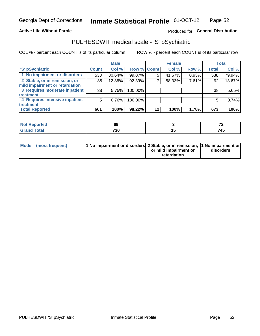#### **Active Life Without Parole**

### Produced for General Distribution

## PULHESDWIT medical scale - 'S' pSychiatric

COL % - percent each COUNT is of its particular column

|                                |              | <b>Male</b> |                    |    | <b>Female</b> |       |              | Total  |
|--------------------------------|--------------|-------------|--------------------|----|---------------|-------|--------------|--------|
| 'S' pSychiatric                | <b>Count</b> | Col %       | <b>Row % Count</b> |    | Col %         | Row % | <b>Total</b> | Col %  |
| 1 No impairment or disorders   | 533          | 80.64%      | 99.07%             | 5  | 41.67%        | 0.93% | 538          | 79.94% |
| 2 Stable, or in remission, or  | 85           | 12.86%      | 92.39%             |    | 58.33%        | 7.61% | 92           | 13.67% |
| mild impairment or retardation |              |             |                    |    |               |       |              |        |
| 3 Requires moderate inpatient  | 38           | 5.75%       | 100.00%            |    |               |       | 38           | 5.65%  |
| treatment                      |              |             |                    |    |               |       |              |        |
| 4 Requires intensive inpatient | 5            | 0.76%       | 100.00%            |    |               |       | 5            | 0.74%  |
| treatment                      |              |             |                    |    |               |       |              |        |
| <b>Total Reported</b>          | 661          | 100%        | 98.22%             | 12 | 100%          | 1.78% | 673          | 100%   |

| тео | . .<br>vu          | --<br>. .            |
|-----|--------------------|----------------------|
|     | 720<br>טכ ו<br>- - | 74E<br>.43<br>$\sim$ |

| Mode (most frequent) | <sup>1</sup> No impairment or disorders 2 Stable, or in remission, <sup>1</sup> No impairment or |                       |           |
|----------------------|--------------------------------------------------------------------------------------------------|-----------------------|-----------|
|                      |                                                                                                  | or mild impairment or | disorders |
|                      |                                                                                                  | retardation           |           |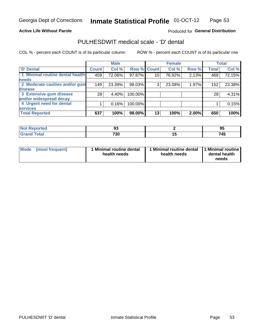#### **Active Life Without Parole**

### Produced for General Distribution

## PULHESDWIT medical scale - 'D' dental

COL % - percent each COUNT is of its particular column

|                                 |                 | <b>Male</b> |         |                 | <b>Female</b> |       |              | <b>Total</b> |
|---------------------------------|-----------------|-------------|---------|-----------------|---------------|-------|--------------|--------------|
| <b>D'</b> Dental                | <b>Count</b>    | Col %       |         | Row % Count     | Col %         | Row % | <b>Total</b> | Col %        |
| 1 Minimal routine dental health | 459             | 72.06%      | 97.87%  | 10 <sub>1</sub> | 76.92%        | 2.13% | 469          | 72.15%       |
| <b>needs</b>                    |                 |             |         |                 |               |       |              |              |
| 2 Moderate cavities and/or gum  | 149             | 23.39%      | 98.03%  | 3               | 23.08%        | 1.97% | 152          | 23.38%       |
| disease                         |                 |             |         |                 |               |       |              |              |
| 3 Extensive gum disease         | 28 <sub>1</sub> | 4.40%       | 100.00% |                 |               |       | 28           | 4.31%        |
| and/or widespread decay         |                 |             |         |                 |               |       |              |              |
| 4 Urgent need for dental        |                 | 0.16%       | 100.00% |                 |               |       |              | 0.15%        |
| <b>services</b>                 |                 |             |         |                 |               |       |              |              |
| <b>Total Reported</b>           | 637             | 100%        | 98.00%  | 13              | 100%          | 2.00% | 650          | 100%         |

| المناسب المسار<br>rtea<br>. | ◡           |    | ◡     |
|-----------------------------|-------------|----|-------|
| $C = 4 - 7$<br><b>TULAI</b> | 700<br>טע ו | __ | - - - |

| <b>Mode</b> | (most frequent) | <b>Minimal routine dental</b><br>health needs | 1 Minimal routine dental<br>health needs | <b>11 Minimal routine I</b><br>dental health<br>needs |
|-------------|-----------------|-----------------------------------------------|------------------------------------------|-------------------------------------------------------|
|-------------|-----------------|-----------------------------------------------|------------------------------------------|-------------------------------------------------------|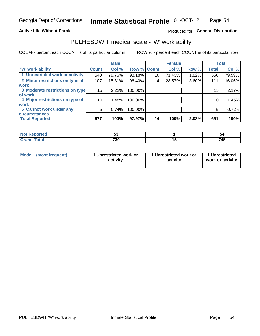#### **Active Life Without Parole**

### Produced for General Distribution

## PULHESDWIT medical scale - 'W' work ability

COL % - percent each COUNT is of its particular column

|                                 |              | <b>Male</b> |         |             | <b>Female</b> |       |              | <b>Total</b> |
|---------------------------------|--------------|-------------|---------|-------------|---------------|-------|--------------|--------------|
| 'W' work ability                | <b>Count</b> | Col %       |         | Row % Count | Col %         | Row % | <b>Total</b> | Col %        |
| 1 Unrestricted work or activity | 540          | 79.76%      | 98.18%  | 10          | 71.43%        | 1.82% | 550          | 79.59%       |
| 2 Minor restrictions on type of | 107          | 15.81%      | 96.40%  | 4           | 28.57%        | 3.60% | 111          | 16.06%       |
| <b>work</b>                     |              |             |         |             |               |       |              |              |
| 3 Moderate restrictions on type | 15           | 2.22%       | 100.00% |             |               |       | 15           | 2.17%        |
| lof work                        |              |             |         |             |               |       |              |              |
| 4 Major restrictions on type of | 10           | 1.48%       | 100.00% |             |               |       | 10           | 1.45%        |
| <b>work</b>                     |              |             |         |             |               |       |              |              |
| 5 Cannot work under any         | 5            | 0.74%       | 100.00% |             |               |       | 5            | 0.72%        |
| <b>circumstances</b>            |              |             |         |             |               |       |              |              |
| <b>Total Reported</b>           | 677          | 100%        | 97.97%  | 14          | 100%          | 2.03% | 691          | 100%         |

| <b>Not Reported</b> |           | -34           |
|---------------------|-----------|---------------|
| <b>Grand Total</b>  | 700<br>טכ | - - -<br>. TV |

| <b>Mode</b> | (most frequent) | 1 Unrestricted work or<br>activity | 1 Unrestricted work or<br>activity | 1 Unrestricted<br>work or activity |
|-------------|-----------------|------------------------------------|------------------------------------|------------------------------------|
|-------------|-----------------|------------------------------------|------------------------------------|------------------------------------|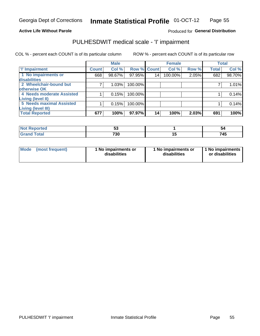#### **Active Life Without Parole**

#### Produced for General Distribution

## PULHESDWIT medical scale - 'I' impairment

|                           |                    | <b>Male</b> |             |    | <b>Female</b> |       |              | <b>Total</b> |
|---------------------------|--------------------|-------------|-------------|----|---------------|-------|--------------|--------------|
| <b>T' Impairment</b>      | Count <sup>!</sup> | Col %       | Row % Count |    | Col %         | Row % | <b>Total</b> | Col %        |
| 1 No impairments or       | 668                | 98.67%      | 97.95%      | 14 | 100.00%       | 2.05% | 682          | 98.70%       |
| <b>disabilities</b>       |                    |             |             |    |               |       |              |              |
| 2 Wheelchair-bound but    |                    | 1.03%       | 100.00%     |    |               |       |              | 1.01%        |
| otherwise OK              |                    |             |             |    |               |       |              |              |
| 4 Needs moderate Assisted |                    | 0.15%       | 100.00%     |    |               |       |              | 0.14%        |
| Living (level II)         |                    |             |             |    |               |       |              |              |
| 5 Needs maximal Assisted  |                    | 0.15%       | 100.00%     |    |               |       |              | 0.14%        |
| <b>Living (level III)</b> |                    |             |             |    |               |       |              |              |
| <b>Total Reported</b>     | 677                | 100%        | 97.97%      | 14 | 100%          | 2.03% | 691          | 100%         |

| orted       | v.  | ວ           |
|-------------|-----|-------------|
| <b>otal</b> | 730 | - - -<br>45 |

| Mode | (most frequent) | 1 No impairments or<br>disabilities | 1 No impairments or<br>disabilities | 1 No impairments  <br>or disabilities |
|------|-----------------|-------------------------------------|-------------------------------------|---------------------------------------|
|------|-----------------|-------------------------------------|-------------------------------------|---------------------------------------|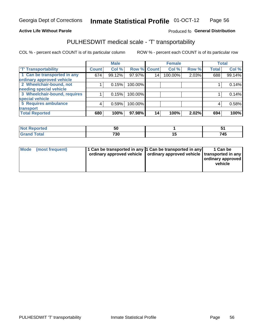#### **Active Life Without Parole**

### Produced fo General Distribution

## PULHESDWIT medical scale - 'T' transportability

COL % - percent each COUNT is of its particular column

|                                                          |              | <b>Male</b> |         |             | <b>Female</b> |       |              | <b>Total</b> |
|----------------------------------------------------------|--------------|-------------|---------|-------------|---------------|-------|--------------|--------------|
| <b>T' Transportability</b>                               | <b>Count</b> | Col %       |         | Row % Count | Col %         | Row % | <b>Total</b> | Col %        |
| 1 Can be transported in any<br>ordinary approved vehicle | 674          | 99.12%      | 97.97%  | 14          | 100.00%       | 2.03% | 688          | 99.14%       |
| 2 Wheelchair-bound, not                                  |              | 0.15%       | 100.00% |             |               |       |              | 0.14%        |
| needing special vehicle                                  |              |             |         |             |               |       |              |              |
| 3 Wheelchair-bound, requires                             |              | 0.15%       | 100.00% |             |               |       |              | 0.14%        |
| special vehicle                                          |              |             |         |             |               |       |              |              |
| 5 Requires ambulance                                     | 4            | 0.59%       | 100.00% |             |               |       | 4            | 0.58%        |
| transport                                                |              |             |         |             |               |       |              |              |
| <b>Total Reported</b>                                    | 680          | 100%        | 97.98%  | 14          | 100%          | 2.02% | 694          | 100%         |

| 'N (<br>oortea | --<br>50 |     |
|----------------|----------|-----|
| υιαι           | 730      | 745 |

| <b>Mode</b> | (most frequent) | 11 Can be transported in any 1 Can be transported in any<br>ordinary approved vehicle   ordinary approved vehicle   transported in any |  | 1 Can be<br>ordinary approved<br>vehicle |
|-------------|-----------------|----------------------------------------------------------------------------------------------------------------------------------------|--|------------------------------------------|
|-------------|-----------------|----------------------------------------------------------------------------------------------------------------------------------------|--|------------------------------------------|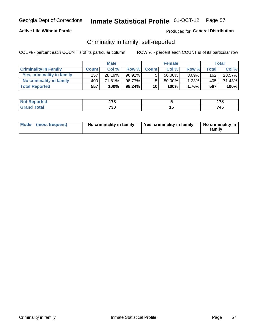### **Active Life Without Parole**

### Produced for General Distribution

## Criminality in family, self-reported

COL % - percent each COUNT is of its particular column

|                              | <b>Male</b>  |        | <b>Female</b> |                 |           | Total    |       |        |
|------------------------------|--------------|--------|---------------|-----------------|-----------|----------|-------|--------|
| <b>Criminality In Family</b> | <b>Count</b> | Col%   | Row %         | <b>Count</b>    | Col %     | Row %    | Total | Col %  |
| Yes, criminality in family   | 157          | 28.19% | 96.91%        | 5               | $50.00\%$ | $3.09\%$ | 162   | 28.57% |
| No criminality in family     | 400          | 71.81% | 98.77%        | 5               | $50.00\%$ | 1.23%    | 405   | 71.43% |
| <b>Total Reported</b>        | 557          | 100%   | 98.24%        | 10 <sup>1</sup> | 100%      | $1.76\%$ | 567   | 100%   |

| <b>Not Reported</b>             | --          |     | 170<br>.     |
|---------------------------------|-------------|-----|--------------|
| <i>i</i> otal<br>l Gran<br>____ | 700<br>7 JU | $-$ | - - -<br>745 |

|  | Mode (most frequent) | No criminality in family | Yes, criminality in family | No criminality in<br>family |
|--|----------------------|--------------------------|----------------------------|-----------------------------|
|--|----------------------|--------------------------|----------------------------|-----------------------------|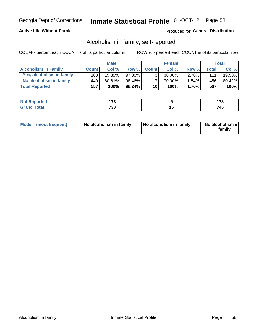### **Active Life Without Parole**

### Produced for General Distribution

## Alcoholism in family, self-reported

COL % - percent each COUNT is of its particular column

|                             | <b>Male</b>  |           | <b>Female</b> |                 |        | Total    |              |        |
|-----------------------------|--------------|-----------|---------------|-----------------|--------|----------|--------------|--------|
| <b>Alcoholism In Family</b> | <b>Count</b> | Col%      | Row %         | <b>Count</b>    | Col %  | Row %    | <b>Total</b> | Col %  |
| Yes, alcoholism in family   | 108          | $19.39\%$ | 97.30%        | 2               | 30.00% | $2.70\%$ | 1111         | 19.58% |
| No alcoholism in family     | 449          | 80.61%    | 98.46%        |                 | 70.00% | $1.54\%$ | 456          | 80.42% |
| <b>Total Reported</b>       | 557          | 100%      | $98.24\%$     | 10 <sup>1</sup> | 100%   | $1.76\%$ | 567          | 100%   |

| <b>Not Reported</b>     | ィラヘ |     | .          |
|-------------------------|-----|-----|------------|
| <b>c</b> otal<br>l Gran | 730 | . . | ハト<br>. T. |

|  | Mode (most frequent) | No alcoholism in family | No alcoholism in family | No alcoholism in<br>family |
|--|----------------------|-------------------------|-------------------------|----------------------------|
|--|----------------------|-------------------------|-------------------------|----------------------------|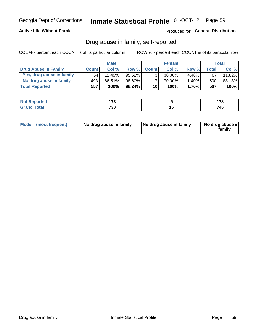### **Active Life Without Parole**

### Produced for General Distribution

## Drug abuse in family, self-reported

COL % - percent each COUNT is of its particular column

|                           | <b>Male</b>  |        | <b>Female</b> |                 |        | Total    |              |        |
|---------------------------|--------------|--------|---------------|-----------------|--------|----------|--------------|--------|
| Drug Abuse In Family      | <b>Count</b> | Col%   | Row %         | <b>Count</b>    | Col%   | Row %    | <b>Total</b> | Col %  |
| Yes, drug abuse in family | 64           | 11.49% | $95.52\%$     | 3               | 30.00% | $4.48\%$ | 67           | 11.82% |
| No drug abuse in family   | 493          | 88.51% | 98.60%I       |                 | 70.00% | $1.40\%$ | 500          | 88.18% |
| <b>Total Reported</b>     | 557          | 100%   | 98.24%        | 10 <sup>1</sup> | 100%   | $1.76\%$ | 567          | 100%   |

| <b>Not Reported</b>     | ィラヘ |     | .          |
|-------------------------|-----|-----|------------|
| <b>c</b> otal<br>l Gran | 730 | . . | ハト<br>. T. |

|  | Mode (most frequent) | No drug abuse in family | No drug abuse in family | No drug abuse in<br>family |
|--|----------------------|-------------------------|-------------------------|----------------------------|
|--|----------------------|-------------------------|-------------------------|----------------------------|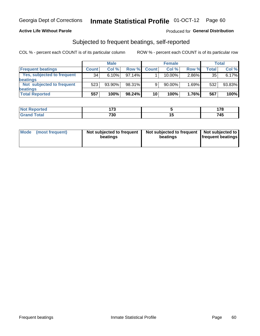### **Active Life Without Parole**

#### Produced for General Distribution

## Subjected to frequent beatings, self-reported

COL % - percent each COUNT is of its particular column

|                                   |              | <b>Male</b> |           |              | <b>Female</b> |       |       | Total  |
|-----------------------------------|--------------|-------------|-----------|--------------|---------------|-------|-------|--------|
| <b>Frequent beatings</b>          | <b>Count</b> | Col %       | Row %     | <b>Count</b> | Col %         | Row % | Total | Col %  |
| <b>Yes, subjected to frequent</b> | 34           | 6.10%       | 97.14%    |              | 10.00%        | 2.86% | 35    | 6.17%  |
| <b>beatings</b>                   |              |             |           |              |               |       |       |        |
| Not subjected to frequent         | 523          | 93.90%      | 98.31%    | 9            | 90.00%        | 1.69% | 532   | 93.83% |
| <b>beatings</b>                   |              |             |           |              |               |       |       |        |
| <b>Total Reported</b>             | 557          | 100%        | $98.24\%$ | 10           | 100%          | 1.76% | 567   | 100%   |

| <b>Not Reported</b>   | ィフヘ<br>. . |     | 170<br>1 I V |
|-----------------------|------------|-----|--------------|
| <b>Total</b><br>Grand | 730        | . . | 745          |

| Mode (most frequent) | Not subjected to frequent<br>beatings | Not subjected to frequent<br>beatings | Not subjected to<br><b>frequent beatings</b> |
|----------------------|---------------------------------------|---------------------------------------|----------------------------------------------|
|                      |                                       |                                       |                                              |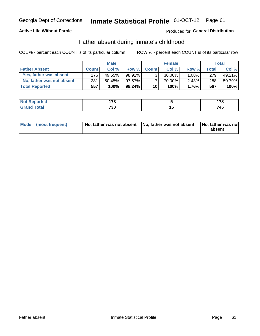### **Active Life Without Parole**

### Produced for General Distribution

## Father absent during inmate's childhood

COL % - percent each COUNT is of its particular column

|                           | <b>Male</b>  |           | <b>Female</b> |                 |           | Total    |         |         |
|---------------------------|--------------|-----------|---------------|-----------------|-----------|----------|---------|---------|
| <b>Father Absent</b>      | <b>Count</b> | Col%      | Row %         | <b>Count</b>    | Col %     | Row %    | Total i | Col %   |
| Yes, father was absent    | 276          | 49.55%    | 98.92%        | 3 <sub>1</sub>  | $30.00\%$ | $1.08\%$ | 279     | 49.21%  |
| No, father was not absent | 281          | $50.45\%$ | 97.57%        |                 | 70.00%    | $2.43\%$ | 288     | 50.79%  |
| <b>Total Reported</b>     | 557          | 100%      | $98.24\%$     | 10 <sup>1</sup> | 100%      | $1.76\%$ | 567     | $100\%$ |

| <b>Not Reported</b>     | --<br>.   | 170<br>. . v        |
|-------------------------|-----------|---------------------|
| <b>Fotal</b><br>' Grano | フクハ<br>ാ∪ | - - -<br>74⊾<br>,45 |

|  | Mode (most frequent) | No, father was not absent No, father was not absent |  | No, father was not<br>absent |
|--|----------------------|-----------------------------------------------------|--|------------------------------|
|--|----------------------|-----------------------------------------------------|--|------------------------------|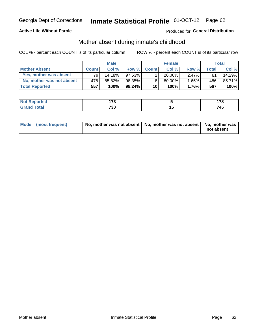### **Active Life Without Parole**

### Produced for General Distribution

## Mother absent during inmate's childhood

COL % - percent each COUNT is of its particular column

|                           | <b>Male</b>  |        | <b>Female</b> |                 |           | Total    |       |        |
|---------------------------|--------------|--------|---------------|-----------------|-----------|----------|-------|--------|
| <b>Mother Absent</b>      | <b>Count</b> | Col%   | Row %         | <b>Count</b>    | Col %     | Row %    | Total | Col %  |
| Yes, mother was absent    | 791          | 14.18% | $97.53\%$     | $\overline{2}$  | $20.00\%$ | $2.47\%$ | 81    | 14.29% |
| No, mother was not absent | 478          | 85.82% | 98.35%        | 8               | 80.00%    | 1.65%    | 486   | 85.71% |
| <b>Total Reported</b>     | 557          | 100%   | $98.24\%$     | 10 <sup>1</sup> | 100%      | $1.76\%$ | 567   | 100%   |

| <b>Reported</b><br><b>NO</b> | --<br>. |    | .   |
|------------------------------|---------|----|-----|
| <b>otal</b>                  | 730     | 17 | 745 |

| Mode (most frequent) | No, mother was not absent   No, mother was not absent   No, mother was | not absent |
|----------------------|------------------------------------------------------------------------|------------|
|                      |                                                                        |            |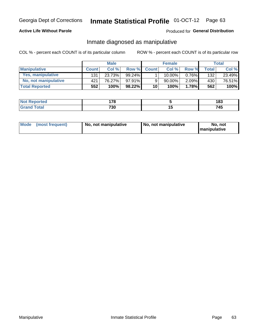### **Active Life Without Parole**

### Produced for General Distribution

## Inmate diagnosed as manipulative

COL % - percent each COUNT is of its particular column

|                          | <b>Male</b>  |        | <b>Female</b> |              |             | Total    |              |        |
|--------------------------|--------------|--------|---------------|--------------|-------------|----------|--------------|--------|
| <b>Manipulative</b>      | <b>Count</b> | Col %  | Row %         | <b>Count</b> | Col %       | Row %    | <b>Total</b> | Col %  |
| <b>Yes, manipulative</b> | 131          | 23.73% | $99.24\%$     |              | $10.00\%$ . | $0.76\%$ | 132          | 23.49% |
| No, not manipulative     | 421          | 76.27% | $97.91\%$     | 9            | 90.00%      | $2.09\%$ | 430          | 76.51% |
| <b>Total Reported</b>    | 552          | 100%   | $98.22\%$     | 10           | 100%        | 1.78%    | 562          | 100%   |

| <b>Not Reported</b>      | 470<br>. . |    | 183 |
|--------------------------|------------|----|-----|
| <b>c</b> otal<br>' Grano | 700<br>טכ  | יי | 745 |

|  | Mode (most frequent) | No, not manipulative | No, not manipulative | No. not<br><b>I</b> manipulative |
|--|----------------------|----------------------|----------------------|----------------------------------|
|--|----------------------|----------------------|----------------------|----------------------------------|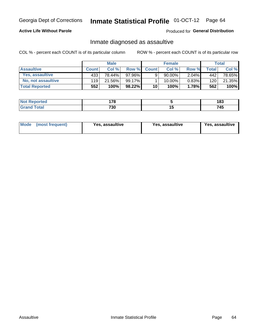# Inmate Statistical Profile 01-OCT-12 Page 64

### **Active Life Without Parole**

#### Produced for General Distribution

## Inmate diagnosed as assaultive

COL % - percent each COUNT is of its particular column

|                       | <b>Male</b>  |        | <b>Female</b> |              |        | Total    |       |        |
|-----------------------|--------------|--------|---------------|--------------|--------|----------|-------|--------|
| <b>Assaultive</b>     | <b>Count</b> | Col %  | Row %         | <b>Count</b> | Col %  | Row %    | Total | Col %  |
| Yes, assaultive       | 433          | 78.44% | 97.96%        | 9            | 90.00% | $2.04\%$ | 442   | 78.65% |
| No, not assaultive    | 119          | 21.56% | 99.17%        |              | 10.00% | $0.83\%$ | 120   | 21.35% |
| <b>Total Reported</b> | 552          | 100%   | 98.22%        | 10           | 100%   | 1.78%    | 562   | 100%   |

| <b>Reported</b> | 470 |    | .   |
|-----------------|-----|----|-----|
| <b>NO</b>       | .   |    | ت 0 |
| <b>otal</b>     | 730 | 17 | 745 |

| Mode (most frequent)<br>Yes, assaultive | Yes, assaultive | <b>Yes, assaultive</b> |
|-----------------------------------------|-----------------|------------------------|
|-----------------------------------------|-----------------|------------------------|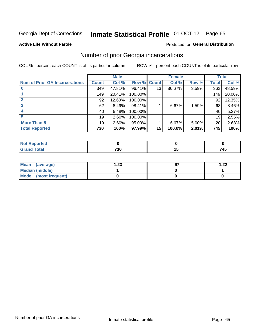#### Inmate Statistical Profile 01-OCT-12 Page 65

#### **Active Life Without Parole**

#### Produced for General Distribution

## Number of prior Georgia incarcerations

COL % - percent each COUNT is of its particular column

|                                       |                 | <b>Male</b> |                    |                 | <b>Female</b> |          |              | <b>Total</b> |
|---------------------------------------|-----------------|-------------|--------------------|-----------------|---------------|----------|--------------|--------------|
| <b>Num of Prior GA Incarcerations</b> | <b>Count</b>    | Col %       | <b>Row % Count</b> |                 | Col %         | Row %    | <b>Total</b> | Col %        |
|                                       | 349             | 47.81%      | 96.41%             | 13 <sub>1</sub> | 86.67%        | 3.59%    | 362          | 48.59%       |
|                                       | 149             | 20.41%      | 100.00%            |                 |               |          | 149          | 20.00%       |
|                                       | 92              | 12.60%      | 100.00%            |                 |               |          | 92           | 12.35%       |
|                                       | 62              | 8.49%       | 98.41%             |                 | 6.67%         | 1.59%    | 63           | 8.46%        |
|                                       | 40              | 5.48%       | 100.00%            |                 |               |          | 40           | 5.37%        |
|                                       | 19              | 2.60%       | 100.00%            |                 |               |          | 19           | 2.55%        |
| <b>More Than 5</b>                    | 19 <sup>1</sup> | 2.60%       | 95.00%             |                 | 6.67%         | $5.00\%$ | 20           | 2.68%        |
| <b>Total Reported</b>                 | 730             | 100%        | 97.99%             | 15              | 100.0%        | 2.01%    | 745          | 100%         |

| тео |              |    |                                               |
|-----|--------------|----|-----------------------------------------------|
|     | 700<br>7 J U | __ | $\rightarrow$ 4 $\rightarrow$<br>45<br>$\sim$ |

| Mean (average)       | 1.23 | ו ש. | 1.22 |
|----------------------|------|------|------|
| Median (middle)      |      |      |      |
| Mode (most frequent) |      |      |      |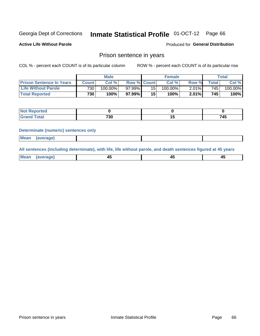#### Inmate Statistical Profile 01-OCT-12 Page 66

**Active Life Without Parole** 

Produced for General Distribution

### Prison sentence in years

COL % - percent each COUNT is of its particular column

ROW % - percent each COUNT is of its particular row

|                                 | <b>Male</b>  |            |           | <b>Female</b>      |            |       | Total |         |
|---------------------------------|--------------|------------|-----------|--------------------|------------|-------|-------|---------|
| <b>Prison Sentence In Years</b> | <b>Count</b> | Col %      |           | <b>Row % Count</b> | Col%       | Row % | Total | Col %   |
| <b>Life Without Parole</b>      | 730          | $100.00\%$ | 97.99%    | 15                 | $100.00\%$ | 2.01% | 745   | 100.00% |
| <b>Total Reported</b>           | 730          | 100%       | $97.99\%$ | 15                 | 100%       | 2.01% | 745   | 100%    |

| Not Reported |     |     |
|--------------|-----|-----|
| <b>otal</b>  | 730 | 745 |

#### **Determinate (numeric) sentences only**

| <b>Mean</b><br><i>(average)</i> |  |
|---------------------------------|--|
|---------------------------------|--|

All sentences (including determinate), with life, life without parole, and death sentences figured at 45 years

| Mea<br>(average) | ᠇៶<br>$\sim$ |  |
|------------------|--------------|--|
|                  |              |  |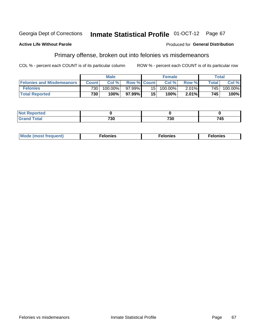#### **Inmate Statistical Profile 01-OCT-12** Georgia Dept of Corrections Page 67

#### **Active Life Without Parole**

#### Produced for General Distribution

## Primary offense, broken out into felonies vs misdemeanors

COL % - percent each COUNT is of its particular column

|                                  |                  | <b>Male</b> |                    |                 | <b>Female</b> |          |                    | Total   |
|----------------------------------|------------------|-------------|--------------------|-----------------|---------------|----------|--------------------|---------|
| <b>Felonies and Misdemeanors</b> | <b>Count</b>     | Col%        | <b>Row % Count</b> |                 | Col%          | Row %    | Total <sub>1</sub> | Col %   |
| <b>Felonies</b>                  | 730 <sub>1</sub> | 100.00%     | 97.99%             | 15 <sub>1</sub> | 100.00%       | $2.01\%$ | $745_1$            | 100.00% |
| <b>Total Reported</b>            | 730              | $100\%$     | 97.99%             | 15              | 100%          | $2.01\%$ | 745                | 100%    |

| Not <b>F</b><br>Reported   |           |     |     |
|----------------------------|-----------|-----|-----|
| <b>Total</b><br>Grand<br>u | 700<br>υc | 730 | 745 |

| <b>Mode</b><br>frequent)<br>nies<br>≧ (most tr.<br>. | onies<br>. | lonies<br>ею<br>____ |
|------------------------------------------------------|------------|----------------------|
|------------------------------------------------------|------------|----------------------|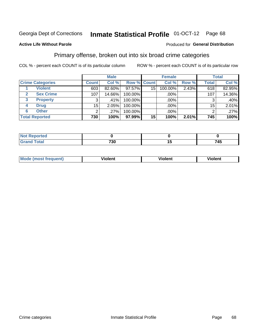#### **Inmate Statistical Profile 01-OCT-12** Page 68

### **Active Life Without Parole**

### Produced for General Distribution

## Primary offense, broken out into six broad crime categories

COL % - percent each COUNT is of its particular column

|                         |                 | <b>Male</b> |             |                 | <b>Female</b> |       |                 | <b>Total</b> |
|-------------------------|-----------------|-------------|-------------|-----------------|---------------|-------|-----------------|--------------|
| <b>Crime Categories</b> | <b>Count</b>    | Col %       | Row % Count |                 | Col %         | Row % | <b>Total</b>    | Col %        |
| <b>Violent</b>          | 603             | 82.60%      | 97.57%      | 15              | 100.00%       | 2.43% | 618             | 82.95%       |
| <b>Sex Crime</b>        | 107             | 14.66%      | 100.00%     |                 | .00%          |       | 107             | 14.36%       |
| 3<br><b>Property</b>    | 3               | .41%        | 100.00%     |                 | .00%          |       |                 | .40%         |
| <b>Drug</b><br>4        | 15 <sub>1</sub> | 2.05%       | 100.00%     |                 | .00%          |       | 15 <sub>1</sub> | 2.01%        |
| <b>Other</b><br>6       | 2               | .27%        | 100.00%     |                 | $.00\%$       |       |                 | $.27\%$      |
| <b>Total Reported</b>   | 730             | 100%        | 97.99%      | 15 <sup>1</sup> | 100%          | 2.01% | 745             | 100%         |

| <b>Not Reported</b> |              |     |
|---------------------|--------------|-----|
| <b>Total</b>        | 700<br>7 J U | 745 |

| M | . | 40 O |
|---|---|------|
|   |   |      |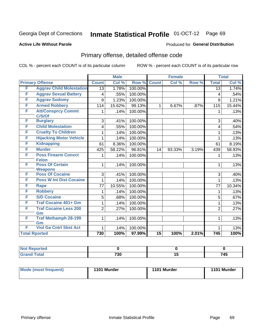#### **Inmate Statistical Profile 01-OCT-12** Page 69

#### **Active Life Without Parole**

#### Produced for General Distribution

## Primary offense, detailed offense code

COL % - percent each COUNT is of its particular column

|   |                                          |                 | <b>Male</b> |         |                 | <b>Female</b> |       |                 | <b>Total</b> |
|---|------------------------------------------|-----------------|-------------|---------|-----------------|---------------|-------|-----------------|--------------|
|   | <b>Primary Offense</b>                   | <b>Count</b>    | Col %       | Row %   | <b>Count</b>    | Col %         | Row % | <b>Total</b>    | Col %        |
| F | <b>Aggrav Child Molestation</b>          | $\overline{13}$ | 1.78%       | 100.00% |                 |               |       | $\overline{13}$ | 1.74%        |
| F | <b>Aggrav Sexual Battery</b>             | 4               | .55%        | 100.00% |                 |               |       | 4               | .54%         |
| F | <b>Aggrav Sodomy</b>                     | 9               | 1.23%       | 100.00% |                 |               |       | 9               | 1.21%        |
| F | <b>Armed Robbery</b>                     | 114             | 15.62%      | 99.13%  | $\mathbf{1}$    | 6.67%         | .87%  | 115             | 15.44%       |
| F | <b>Att/Consprcy Commt</b><br>C/S/Of      | 1.              | .14%        | 100.00% |                 |               |       | 1               | .13%         |
| F | <b>Burglary</b>                          | 3               | .41%        | 100.00% |                 |               |       | 3               | .40%         |
| F | <b>Child Molestation</b>                 | 4               | .55%        | 100.00% |                 |               |       | $\overline{4}$  | .54%         |
| F | <b>Cruelty To Children</b>               | 1               | .14%        | 100.00% |                 |               |       | 1               | .13%         |
| F | <b>Hijacking Motor Vehicle</b>           | 1               | .14%        | 100.00% |                 |               |       | 1               | .13%         |
| F | <b>Kidnapping</b>                        | 61              | 8.36%       | 100.00% |                 |               |       | 61              | 8.19%        |
| F | <b>Murder</b>                            | 425             | 58.22%      | 96.81%  | 14              | 93.33%        | 3.19% | 439             | 58.93%       |
| F | <b>Poss Firearm Convct</b>               | 1               | .14%        | 100.00% |                 |               |       | 1               | .13%         |
|   | <b>Felon</b>                             |                 |             |         |                 |               |       |                 |              |
| F | <b>Poss Of Certain</b><br><b>Weapons</b> | 1               | .14%        | 100.00% |                 |               |       | 1               | .13%         |
| F | <b>Poss Of Cocaine</b>                   | 3               | .41%        | 100.00% |                 |               |       | 3               | .40%         |
| F | <b>Poss W Int Dist Cocaine</b>           | 1               | .14%        | 100.00% |                 |               |       | 1               | .13%         |
| F | <b>Rape</b>                              | 77              | 10.55%      | 100.00% |                 |               |       | 77              | 10.34%       |
| F | <b>Robbery</b>                           | 1               | .14%        | 100.00% |                 |               |       | 1               | .13%         |
| F | <b>S/D Cocaine</b>                       | 5               | .68%        | 100.00% |                 |               |       | 5               | .67%         |
| F | <b>Traf Cocaine 401+ Gm</b>              | 1               | .14%        | 100.00% |                 |               |       | 1               | .13%         |
| F | <b>Traf Cocaine Less 200</b>             | $\overline{2}$  | .27%        | 100.00% |                 |               |       | $\overline{2}$  | .27%         |
|   | Gm                                       |                 |             |         |                 |               |       |                 |              |
| F | <b>Traf Methamph 28-199</b>              | $\mathbf{1}$    | .14%        | 100.00% |                 |               |       | 1               | .13%         |
|   | Gm                                       |                 |             |         |                 |               |       |                 |              |
| F | <b>Viol Ga Cntrl Sbst Act</b>            | 1               | .14%        | 100.00% |                 |               |       | 1               | .13%         |
|   | <b>Total Rported</b>                     | 730             | 100%        | 97.99%  | $\overline{15}$ | 100%          | 2.01% | 745             | 100%         |

| oorted                 |             |    |     |
|------------------------|-------------|----|-----|
| $\sim$ $\sim$<br>_____ | 700<br>7 JU | ., | 745 |

| Mode (most frequent) | 1101 Murder | 1101 Murder | 1101 Murder |
|----------------------|-------------|-------------|-------------|
|                      |             |             |             |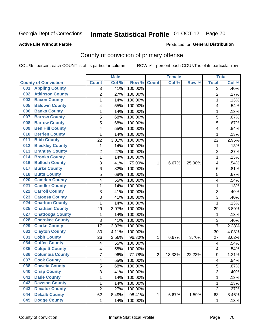#### **Active Life Without Parole**

#### Produced for **General Distribution**

## County of conviction of primary offense

|                                |                | <b>Male</b> |         |                | <b>Female</b> |        |                | <b>Total</b> |
|--------------------------------|----------------|-------------|---------|----------------|---------------|--------|----------------|--------------|
| <b>County of Conviction</b>    | <b>Count</b>   | Col %       | Row %   | <b>Count</b>   | Col %         | Row %  | <b>Total</b>   | Col %        |
| <b>Appling County</b><br>001   | 3              | .41%        | 100.00% |                |               |        | $\overline{3}$ | .40%         |
| <b>Atkinson County</b><br>002  | $\overline{2}$ | .27%        | 100.00% |                |               |        | $\overline{2}$ | .27%         |
| <b>Bacon County</b><br>003     | 1              | .14%        | 100.00% |                |               |        | $\mathbf{1}$   | .13%         |
| <b>Baldwin County</b><br>005   | 4              | .55%        | 100.00% |                |               |        | 4              | .54%         |
| <b>Banks County</b><br>006     | 1              | .14%        | 100.00% |                |               |        | $\mathbf{1}$   | .13%         |
| <b>Barrow County</b><br>007    | 5              | .68%        | 100.00% |                |               |        | 5              | .67%         |
| <b>Bartow County</b><br>008    | 5              | .68%        | 100.00% |                |               |        | 5              | .67%         |
| <b>Ben Hill County</b><br>009  | 4              | .55%        | 100.00% |                |               |        | 4              | .54%         |
| <b>Berrien County</b><br>010   | 1              | .14%        | 100.00% |                |               |        | 1              | .13%         |
| <b>Bibb County</b><br>011      | 22             | 3.01%       | 100.00% |                |               |        | 22             | 2.95%        |
| <b>Bleckley County</b><br>012  | 1              | .14%        | 100.00% |                |               |        | 1              | .13%         |
| <b>Brantley County</b><br>013  | $\overline{2}$ | .27%        | 100.00% |                |               |        | $\overline{2}$ | .27%         |
| <b>Brooks County</b><br>014    | 1              | .14%        | 100.00% |                |               |        | $\mathbf{1}$   | .13%         |
| <b>Bulloch County</b><br>016   | 3              | .41%        | 75.00%  | 1              | 6.67%         | 25.00% | 4              | .54%         |
| <b>Burke County</b><br>017     | $\,6$          | .82%        | 100.00% |                |               |        | 6              | .81%         |
| <b>Butts County</b><br>018     | 5              | .68%        | 100.00% |                |               |        | 5              | .67%         |
| <b>Camden County</b><br>020    | 4              | .55%        | 100.00% |                |               |        | 4              | .54%         |
| <b>Candler County</b><br>021   | 1              | .14%        | 100.00% |                |               |        | $\mathbf{1}$   | .13%         |
| <b>Carroll County</b><br>022   | 3              | .41%        | 100.00% |                |               |        | 3              | .40%         |
| <b>Catoosa County</b><br>023   | $\overline{3}$ | .41%        | 100.00% |                |               |        | $\overline{3}$ | .40%         |
| <b>Charlton County</b><br>024  | 1              | .14%        | 100.00% |                |               |        | $\mathbf{1}$   | .13%         |
| <b>Chatham County</b><br>025   | 29             | 3.97%       | 100.00% |                |               |        | 29             | 3.89%        |
| <b>Chattooga County</b><br>027 | 1              | .14%        | 100.00% |                |               |        | 1              | .13%         |
| <b>Cherokee County</b><br>028  | 3              | .41%        | 100.00% |                |               |        | 3              | .40%         |
| <b>Clarke County</b><br>029    | 17             | 2.33%       | 100.00% |                |               |        | 17             | 2.28%        |
| <b>Clayton County</b><br>031   | 30             | 4.11%       | 100.00% |                |               |        | 30             | 4.03%        |
| <b>Cobb County</b><br>033      | 26             | 3.56%       | 96.30%  | 1              | 6.67%         | 3.70%  | 27             | 3.62%        |
| <b>Coffee County</b><br>034    | 4              | .55%        | 100.00% |                |               |        | 4              | .54%         |
| <b>Colquitt County</b><br>035  | 4              | .55%        | 100.00% |                |               |        | 4              | .54%         |
| <b>Columbia County</b><br>036  | 7              | .96%        | 77.78%  | $\overline{2}$ | 13.33%        | 22.22% | 9              | 1.21%        |
| <b>Cook County</b><br>037      | 4              | .55%        | 100.00% |                |               |        | 4              | .54%         |
| 038<br><b>Coweta County</b>    | 5              | .68%        | 100.00% |                |               |        | 5              | .67%         |
| <b>Crisp County</b><br>040     | 3              | .41%        | 100.00% |                |               |        | 3              | .40%         |
| <b>Dade County</b><br>041      | 1              | .14%        | 100.00% |                |               |        | $\mathbf{1}$   | .13%         |
| <b>Dawson County</b><br>042    | 1              | .14%        | 100.00% |                |               |        | 1              | .13%         |
| <b>Decatur County</b><br>043   | $\overline{2}$ | .27%        | 100.00% |                |               |        | $\overline{2}$ | .27%         |
| <b>Dekalb County</b><br>044    | 62             | 8.49%       | 98.41%  | 1              | 6.67%         | 1.59%  | 63             | 8.46%        |
| <b>Dodge County</b><br>045     | $\mathbf 1$    | .14%        | 100.00% |                |               |        | $\mathbf{1}$   | .13%         |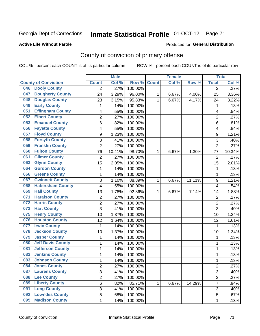#### **Active Life Without Parole**

#### Produced for **General Distribution**

## County of conviction of primary offense

|                                 |                | <b>Male</b> |         |              | <b>Female</b> |        |                | <b>Total</b> |
|---------------------------------|----------------|-------------|---------|--------------|---------------|--------|----------------|--------------|
| <b>County of Conviction</b>     | <b>Count</b>   | Col %       | Row %   | <b>Count</b> | Col %         | Row %  | <b>Total</b>   | Col %        |
| <b>Dooly County</b><br>046      | 2              | .27%        | 100.00% |              |               |        | 2              | .27%         |
| <b>Dougherty County</b><br>047  | 24             | 3.29%       | 96.00%  | 1            | 6.67%         | 4.00%  | 25             | 3.36%        |
| <b>Douglas County</b><br>048    | 23             | 3.15%       | 95.83%  | 1            | 6.67%         | 4.17%  | 24             | 3.22%        |
| <b>Early County</b><br>049      | $\mathbf{1}$   | .14%        | 100.00% |              |               |        | 1              | .13%         |
| <b>Effingham County</b><br>051  | 4              | .55%        | 100.00% |              |               |        | 4              | .54%         |
| <b>Elbert County</b><br>052     | $\overline{2}$ | .27%        | 100.00% |              |               |        | $\overline{2}$ | .27%         |
| <b>Emanuel County</b><br>053    | 6              | .82%        | 100.00% |              |               |        | 6              | .81%         |
| <b>Fayette County</b><br>056    | 4              | .55%        | 100.00% |              |               |        | 4              | .54%         |
| <b>Floyd County</b><br>057      | 9              | 1.23%       | 100.00% |              |               |        | 9              | 1.21%        |
| <b>Forsyth County</b><br>058    | 3              | .41%        | 100.00% |              |               |        | 3              | .40%         |
| <b>Franklin County</b><br>059   | $\overline{2}$ | .27%        | 100.00% |              |               |        | $\overline{2}$ | .27%         |
| <b>Fulton County</b><br>060     | 76             | 10.41%      | 98.70%  | 1            | 6.67%         | 1.30%  | 77             | 10.34%       |
| <b>Gilmer County</b><br>061     | $\overline{2}$ | .27%        | 100.00% |              |               |        | $\overline{2}$ | .27%         |
| <b>Glynn County</b><br>063      | 15             | 2.05%       | 100.00% |              |               |        | 15             | 2.01%        |
| <b>Gordon County</b><br>064     | 1              | .14%        | 100.00% |              |               |        | 1              | .13%         |
| <b>Greene County</b><br>066     | 1              | .14%        | 100.00% |              |               |        | 1              | .13%         |
| <b>Gwinnett County</b><br>067   | 8              | 1.10%       | 88.89%  | 1            | 6.67%         | 11.11% | 9              | 1.21%        |
| <b>Habersham County</b><br>068  | 4              | .55%        | 100.00% |              |               |        | 4              | .54%         |
| <b>Hall County</b><br>069       | 13             | 1.78%       | 92.86%  | 1            | 6.67%         | 7.14%  | 14             | 1.88%        |
| <b>Haralson County</b><br>071   | $\sqrt{2}$     | .27%        | 100.00% |              |               |        | $\mathbf 2$    | .27%         |
| <b>Harris County</b><br>072     | $\overline{2}$ | .27%        | 100.00% |              |               |        | $\overline{2}$ | .27%         |
| <b>Hart County</b><br>073       | $\overline{3}$ | .41%        | 100.00% |              |               |        | 3              | .40%         |
| <b>Henry County</b><br>075      | 10             | 1.37%       | 100.00% |              |               |        | 10             | 1.34%        |
| <b>Houston County</b><br>076    | 12             | 1.64%       | 100.00% |              |               |        | 12             | 1.61%        |
| <b>Irwin County</b><br>077      | $\mathbf{1}$   | .14%        | 100.00% |              |               |        | 1              | .13%         |
| <b>Jackson County</b><br>078    | 10             | 1.37%       | 100.00% |              |               |        | 10             | 1.34%        |
| <b>Jasper County</b><br>079     | 1              | .14%        | 100.00% |              |               |        | 1              | .13%         |
| <b>Jeff Davis County</b><br>080 | 1              | .14%        | 100.00% |              |               |        | 1              | .13%         |
| <b>Jefferson County</b><br>081  | 1              | .14%        | 100.00% |              |               |        | $\mathbf 1$    | .13%         |
| <b>Jenkins County</b><br>082    | 1              | .14%        | 100.00% |              |               |        | $\mathbf 1$    | .13%         |
| <b>Johnson County</b><br>083    | 1              | .14%        | 100.00% |              |               |        | 1              | .13%         |
| 084<br><b>Jones County</b>      | $\overline{c}$ | .27%        | 100.00% |              |               |        | 2              | .27%         |
| <b>Laurens County</b><br>087    | $\overline{3}$ | .41%        | 100.00% |              |               |        | 3              | .40%         |
| <b>Lee County</b><br>088        | $\overline{2}$ | .27%        | 100.00% |              |               |        | $\overline{2}$ | .27%         |
| <b>Liberty County</b><br>089    | 6              | .82%        | 85.71%  | 1            | 6.67%         | 14.29% | $\overline{7}$ | .94%         |
| <b>Long County</b><br>091       | 3              | .41%        | 100.00% |              |               |        | 3              | .40%         |
| <b>Lowndes County</b><br>092    | 5              | .68%        | 100.00% |              |               |        | 5              | .67%         |
| <b>Madison County</b><br>095    | 1              | .14%        | 100.00% |              |               |        | 1              | .13%         |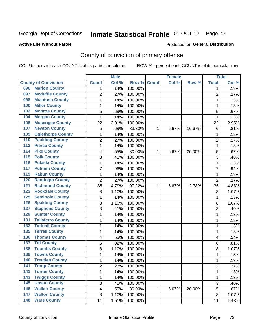#### **Active Life Without Parole**

#### Produced for **General Distribution**

## County of conviction of primary offense

|                                            |                         | <b>Male</b> |                  |              | <b>Female</b> |        |                | <b>Total</b> |
|--------------------------------------------|-------------------------|-------------|------------------|--------------|---------------|--------|----------------|--------------|
| <b>County of Conviction</b>                | <b>Count</b>            | Col %       | Row <sup>%</sup> | <b>Count</b> | Col %         | Row %  | <b>Total</b>   | Col %        |
| <b>Marion County</b><br>096                | 1                       | .14%        | 100.00%          |              |               |        | 1              | .13%         |
| <b>Mcduffie County</b><br>097              | $\overline{2}$          | .27%        | 100.00%          |              |               |        | $\overline{2}$ | .27%         |
| <b>Mcintosh County</b><br>098              | 1                       | .14%        | 100.00%          |              |               |        | 1              | .13%         |
| <b>Miller County</b><br>100                | 1                       | .14%        | 100.00%          |              |               |        | 1              | .13%         |
| <b>Monroe County</b><br>102                | 5                       | .68%        | 100.00%          |              |               |        | 5              | .67%         |
| <b>Morgan County</b><br>104                | 1                       | .14%        | 100.00%          |              |               |        | 1              | .13%         |
| <b>Muscogee County</b><br>106              | 22                      | 3.01%       | 100.00%          |              |               |        | 22             | 2.95%        |
| <b>Newton County</b><br>107                | 5                       | .68%        | 83.33%           | 1            | 6.67%         | 16.67% | 6              | .81%         |
| <b>Oglethorpe County</b><br>109            | 1                       | .14%        | 100.00%          |              |               |        | 1              | .13%         |
| <b>Paulding County</b><br>110              | 2                       | .27%        | 100.00%          |              |               |        | $\overline{2}$ | .27%         |
| <b>Pierce County</b><br>$\overline{113}$   | 1                       | .14%        | 100.00%          |              |               |        | $\mathbf 1$    | .13%         |
| <b>Pike County</b><br>114                  | 4                       | .55%        | 80.00%           | 1            | 6.67%         | 20.00% | 5              | .67%         |
| <b>Polk County</b><br>$\overline{115}$     | 3                       | .41%        | 100.00%          |              |               |        | 3              | .40%         |
| <b>Pulaski County</b><br>116               | 1                       | .14%        | 100.00%          |              |               |        | $\mathbf{1}$   | .13%         |
| <b>Putnam County</b><br>117                | $\overline{7}$          | .96%        | 100.00%          |              |               |        | $\overline{7}$ | .94%         |
| <b>Rabun County</b><br>119                 | 1                       | .14%        | 100.00%          |              |               |        | 1              | .13%         |
| <b>Randolph County</b><br>120              | $\overline{2}$          | .27%        | 100.00%          |              |               |        | $\overline{2}$ | .27%         |
| <b>Richmond County</b><br>$\overline{121}$ | 35                      | 4.79%       | 97.22%           | 1            | 6.67%         | 2.78%  | 36             | 4.83%        |
| <b>Rockdale County</b><br>122              | 8                       | 1.10%       | 100.00%          |              |               |        | 8              | 1.07%        |
| <b>Seminole County</b><br>125              | 1                       | .14%        | 100.00%          |              |               |        | 1              | .13%         |
| <b>Spalding County</b><br>126              | 8                       | 1.10%       | 100.00%          |              |               |        | 8              | 1.07%        |
| <b>Stephens County</b><br>127              | 3                       | .41%        | 100.00%          |              |               |        | 3              | .40%         |
| <b>Sumter County</b><br>129                | 1                       | .14%        | 100.00%          |              |               |        | 1              | .13%         |
| <b>Taliaferro County</b><br>131            | 1                       | .14%        | 100.00%          |              |               |        | 1              | .13%         |
| <b>Tattnall County</b><br>132              | 1                       | .14%        | 100.00%          |              |               |        | 1              | .13%         |
| <b>Terrell County</b><br>135               | 1                       | .14%        | 100.00%          |              |               |        | 1              | .13%         |
| <b>Thomas County</b><br>136                | 4                       | .55%        | 100.00%          |              |               |        | 4              | .54%         |
| <b>Tift County</b><br>137                  | 6                       | .82%        | 100.00%          |              |               |        | 6              | .81%         |
| <b>Toombs County</b><br>138                | 8                       | 1.10%       | 100.00%          |              |               |        | 8              | 1.07%        |
| <b>Towns County</b><br>139                 | 1                       | .14%        | 100.00%          |              |               |        | 1              | .13%         |
| <b>Treutlen County</b><br>140              | 1                       | .14%        | 100.00%          |              |               |        | 1              | .13%         |
| 141<br><b>Troup County</b>                 | $\overline{\mathbf{c}}$ | .27%        | 100.00%          |              |               |        | 2              | .27%         |
| <b>Turner County</b><br>142                | 1                       | .14%        | 100.00%          |              |               |        | $\mathbf{1}$   | .13%         |
| <b>Twiggs County</b><br>$\overline{143}$   | 1                       | .14%        | 100.00%          |              |               |        | $\mathbf{1}$   | .13%         |
| $\overline{145}$<br><b>Upson County</b>    | 3                       | .41%        | 100.00%          |              |               |        | 3              | .40%         |
| <b>Walker County</b><br>146                | 4                       | .55%        | 80.00%           | 1            | 6.67%         | 20.00% | 5              | .67%         |
| <b>Walton County</b><br>147                | 8                       | 1.10%       | 100.00%          |              |               |        | 8              | 1.07%        |
| <b>Ware County</b><br>$\overline{148}$     | 11                      | 1.51%       | 100.00%          |              |               |        | 11             | 1.48%        |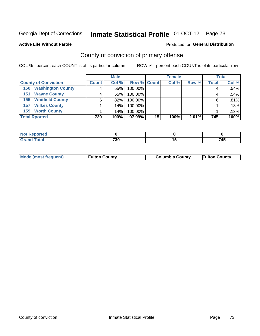#### **Active Life Without Parole**

#### Produced for **General Distribution**

## County of conviction of primary offense

|                                 |              | <b>Male</b> |                    |    | <b>Female</b> |       |              | <b>Total</b> |
|---------------------------------|--------------|-------------|--------------------|----|---------------|-------|--------------|--------------|
| <b>County of Conviction</b>     | <b>Count</b> | Col %       | <b>Row % Count</b> |    | Col %         | Row % | <b>Total</b> | Col %        |
| <b>Washington County</b><br>150 |              | .55%        | 100.00%            |    |               |       |              | .54%         |
| <b>Wayne County</b><br>151      |              | .55%        | 100.00%            |    |               |       |              | $.54\%$      |
| <b>Whitfield County</b><br>155  | 6            | $.82\%$     | 100.00%            |    |               |       | 6            | .81%         |
| <b>Wilkes County</b><br>157     |              | $.14\%$     | 100.00%            |    |               |       |              | .13%         |
| <b>Worth County</b><br>159      |              | $.14\%$     | 100.00%            |    |               |       |              | .13%         |
| <b>Total Rported</b>            | 730          | 100%        | 97.99%             | 15 | 100%          | 2.01% | 745          | 100%         |

| onter                   |             |     |
|-------------------------|-------------|-----|
| <b>c</b> otal<br>$\sim$ | 720<br>′ ວບ | 715 |

| <b>Mode (most frequent)</b> | <b>Fulton County</b> | <b>Columbia County</b> | <b>Fulton County</b> |
|-----------------------------|----------------------|------------------------|----------------------|
|-----------------------------|----------------------|------------------------|----------------------|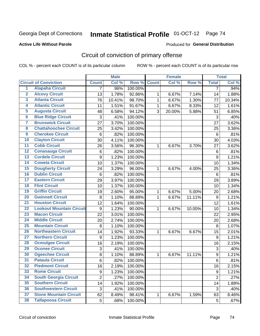#### **Active Life Without Parole**

#### Produced for **General Distribution**

## Circuit of conviction of primary offense

|                         |                                 |                | <b>Male</b> |         |              | <b>Female</b> |        |                  | <b>Total</b>        |
|-------------------------|---------------------------------|----------------|-------------|---------|--------------|---------------|--------|------------------|---------------------|
|                         | <b>Circuit of Conviction</b>    | <b>Count</b>   | Col %       | Row %   | <b>Count</b> | Col%          | Row %  | <b>Total</b>     | Col %               |
| 1                       | <b>Alapaha Circuit</b>          | 7              | .96%        | 100.00% |              |               |        | 7                | .94%                |
| $\overline{2}$          | <b>Alcovy Circuit</b>           | 13             | 1.78%       | 92.86%  | 1            | 6.67%         | 7.14%  | 14               | 1.88%               |
| $\overline{\mathbf{3}}$ | <b>Atlanta Circuit</b>          | 76             | 10.41%      | 98.70%  | $\mathbf{1}$ | 6.67%         | 1.30%  | 77               | 10.34%              |
| 4                       | <b>Atlantic Circuit</b>         | 11             | 1.51%       | 91.67%  | $\mathbf 1$  | 6.67%         | 8.33%  | 12               | 1.61%               |
| 5                       | <b>Augusta Circuit</b>          | 48             | 6.58%       | 94.12%  | 3            | 20.00%        | 5.88%  | 51               | 6.85%               |
| $\overline{6}$          | <b>Blue Ridge Circuit</b>       | 3              | .41%        | 100.00% |              |               |        | 3                | .40%                |
| $\overline{\mathbf{7}}$ | <b>Brunswick Circuit</b>        | 27             | 3.70%       | 100.00% |              |               |        | 27               | 3.62%               |
| 8                       | <b>Chattahoochee Circuit</b>    | 25             | 3.42%       | 100.00% |              |               |        | 25               | 3.36%               |
| $\overline{9}$          | <b>Cherokee Circuit</b>         | 6              | .82%        | 100.00% |              |               |        | $6\phantom{1}6$  | .81%                |
| 10                      | <b>Clayton Circuit</b>          | 30             | 4.11%       | 100.00% |              |               |        | 30               | 4.03%               |
| $\overline{11}$         | <b>Cobb Circuit</b>             | 26             | 3.56%       | 96.30%  | 1            | 6.67%         | 3.70%  | 27               | 3.62%               |
| $\overline{12}$         | <b>Conasauga Circuit</b>        | 6              | .82%        | 100.00% |              |               |        | $\,6$            | .81%                |
| 13                      | <b>Cordele Circuit</b>          | 9              | 1.23%       | 100.00% |              |               |        | 9                | 1.21%               |
| 14                      | <b>Coweta Circuit</b>           | 10             | 1.37%       | 100.00% |              |               |        | 10               | 1.34%               |
| $\overline{15}$         | <b>Dougherty Circuit</b>        | 24             | 3.29%       | 96.00%  | $\mathbf 1$  | 6.67%         | 4.00%  | 25               | 3.36%               |
| 16                      | <b>Dublin Circuit</b>           | $\,6\,$        | .82%        | 100.00% |              |               |        | 6                | .81%                |
| 17                      | <b>Eastern Circuit</b>          | 29             | 3.97%       | 100.00% |              |               |        | 29               | 3.89%               |
| 18                      | <b>Flint Circuit</b>            | 10             | 1.37%       | 100.00% |              |               |        | 10               | 1.34%               |
| 19                      | <b>Griffin Circuit</b>          | 19             | 2.60%       | 95.00%  | 1            | 6.67%         | 5.00%  | 20               | 2.68%               |
| 20                      | <b>Gwinnett Circuit</b>         | 8              | 1.10%       | 88.89%  | 1            | 6.67%         | 11.11% | $\boldsymbol{9}$ | 1.21%               |
| $\overline{21}$         | <b>Houston Circuit</b>          | 12             | 1.64%       | 100.00% |              |               |        | 12               | 1.61%               |
| $\overline{22}$         | <b>Lookout Mountain Circuit</b> | 9              | 1.23%       | 90.00%  | 1            | 6.67%         | 10.00% | 10               | 1.34%               |
| 23                      | <b>Macon Circuit</b>            | 22             | 3.01%       | 100.00% |              |               |        | 22               | 2.95%               |
| $\overline{24}$         | <b>Middle Circuit</b>           | 20             | 2.74%       | 100.00% |              |               |        | 20               | 2.68%               |
| $\overline{25}$         | <b>Mountain Circuit</b>         | 8              | 1.10%       | 100.00% |              |               |        | 8                | 1.07%               |
| 26                      | <b>Northeastern Circuit</b>     | 14             | 1.92%       | 93.33%  | $\mathbf 1$  | 6.67%         | 6.67%  | 15               | 2.01%               |
| $\overline{27}$         | <b>Northern Circuit</b>         | 9              | 1.23%       | 100.00% |              |               |        | 9                | 1.21%               |
| 28                      | <b>Ocmulgee Circuit</b>         | 16             | 2.19%       | 100.00% |              |               |        | 16               | 2.15%               |
| 29                      | <b>Oconee Circuit</b>           | 3              | .41%        | 100.00% |              |               |        | 3                | .40%                |
| 30                      | <b>Ogeechee Circuit</b>         | 8              | 1.10%       | 88.89%  | 1            | 6.67%         | 11.11% | 9                | 1.21%               |
| $\overline{31}$         | <b>Pataula Circuit</b>          | 6              | .82%        | 100.00% |              |               |        | 6                | .81%                |
| 32                      | <b>Piedmont Circuit</b>         | 16             | 2.19%       | 100.00% |              |               |        | 16               | 2.15%               |
| 33                      | <b>Rome Circuit</b>             | 9              | 1.23%       | 100.00% |              |               |        | 9                | $\overline{1.21\%}$ |
| 34                      | <b>South Georgia Circuit</b>    | $\overline{2}$ | .27%        | 100.00% |              |               |        | $\overline{2}$   | .27%                |
| 35                      | <b>Southern Circuit</b>         | 14             | 1.92%       | 100.00% |              |               |        | 14               | 1.88%               |
| 36                      | <b>Southwestern Circuit</b>     | 3              | .41%        | 100.00% |              |               |        | 3                | .40%                |
| 37                      | <b>Stone Mountain Circuit</b>   | 62             | 8.49%       | 98.41%  | 1            | 6.67%         | 1.59%  | 63               | 8.46%               |
| 38                      | <b>Tallapoosa Circuit</b>       | 5              | .68%        | 100.00% |              |               |        | 5                | .67%                |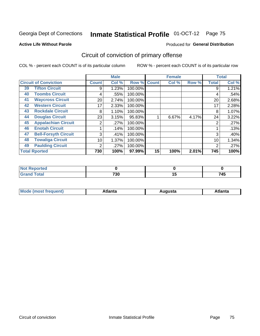#### **Active Life Without Parole**

#### Produced for **General Distribution**

## Circuit of conviction of primary offense

|    |                              |              | <b>Male</b> |         |              | <b>Female</b> |       |              | <b>Total</b> |
|----|------------------------------|--------------|-------------|---------|--------------|---------------|-------|--------------|--------------|
|    | <b>Circuit of Conviction</b> | <b>Count</b> | Col %       | Row %   | <b>Count</b> | Col %         | Row % | <b>Total</b> | Col %        |
| 39 | <b>Tifton Circuit</b>        | 9            | 1.23%       | 100.00% |              |               |       | 9            | 1.21%        |
| 40 | <b>Toombs Circuit</b>        | 4            | .55%        | 100.00% |              |               |       | 4            | .54%         |
| 41 | <b>Waycross Circuit</b>      | 20           | 2.74%       | 100.00% |              |               |       | 20           | 2.68%        |
| 42 | <b>Western Circuit</b>       | 17           | 2.33%       | 100.00% |              |               |       | 17           | 2.28%        |
| 43 | <b>Rockdale Circuit</b>      | 8            | 1.10%       | 100.00% |              |               |       | 8            | 1.07%        |
| 44 | <b>Douglas Circuit</b>       | 23           | 3.15%       | 95.83%  |              | 6.67%         | 4.17% | 24           | 3.22%        |
| 45 | <b>Appalachian Circuit</b>   | 2            | .27%        | 100.00% |              |               |       | 2            | .27%         |
| 46 | <b>Enotah Circuit</b>        |              | .14%        | 100.00% |              |               |       |              | .13%         |
| 47 | <b>Bell-Forsyth Circuit</b>  | 3            | .41%        | 100.00% |              |               |       | 3            | .40%         |
| 48 | <b>Towaliga Circuit</b>      | 10           | 1.37%       | 100.00% |              |               |       | 10           | 1.34%        |
| 49 | <b>Paulding Circuit</b>      | 2            | .27%        | 100.00% |              |               |       | 2            | .27%         |
|    | <b>Total Rported</b>         | 730          | 100%        | 97.99%  | 15           | 100%          | 2.01% | 745          | 100%         |

| .<br>rtea   |            |   |       |
|-------------|------------|---|-------|
| <b>otal</b> | <b>720</b> | י | _ _ _ |
| $\sim$      | υc         |   | - 43  |

| М<br>. Innás<br>.<br>.<br>wanta<br>Πū<br>31.<br>$\sim$ $\sim$ $\sim$ |
|----------------------------------------------------------------------|
|----------------------------------------------------------------------|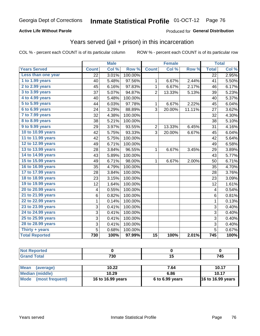### **Active Life Without Parole**

### Produced for **General Distribution**

## Years served (jail + prison) in this incarceration

|                       |              | <b>Male</b> |         |                 | <b>Female</b> |        |                           | <b>Total</b> |
|-----------------------|--------------|-------------|---------|-----------------|---------------|--------|---------------------------|--------------|
| <b>Years Served</b>   | <b>Count</b> | Col %       | Row %   | <b>Count</b>    | Col %         | Row %  | <b>Total</b>              | Col %        |
| Less than one year    | 22           | 3.01%       | 100.00% |                 |               |        | $\overline{22}$           | 2.95%        |
| 1 to 1.99 years       | 40           | 5.48%       | 97.56%  | 1               | 6.67%         | 2.44%  | 41                        | 5.50%        |
| 2 to 2.99 years       | 45           | 6.16%       | 97.83%  | $\mathbf 1$     | 6.67%         | 2.17%  | 46                        | 6.17%        |
| 3 to 3.99 years       | 37           | 5.07%       | 94.87%  | $\overline{2}$  | 13.33%        | 5.13%  | 39                        | 5.23%        |
| 4 to 4.99 years       | 40           | 5.48%       | 100.00% |                 |               |        | 40                        | 5.37%        |
| 5 to 5.99 years       | 44           | 6.03%       | 97.78%  | 1               | 6.67%         | 2.22%  | 45                        | 6.04%        |
| 6 to 6.99 years       | 24           | 3.29%       | 88.89%  | 3               | 20.00%        | 11.11% | 27                        | 3.62%        |
| 7 to 7.99 years       | 32           | 4.38%       | 100.00% |                 |               |        | 32                        | 4.30%        |
| 8 to 8.99 years       | 38           | 5.21%       | 100.00% |                 |               |        | 38                        | 5.10%        |
| 9 to 9.99 years       | 29           | 3.97%       | 93.55%  | $\overline{2}$  | 13.33%        | 6.45%  | 31                        | 4.16%        |
| 10 to 10.99 years     | 42           | 5.75%       | 93.33%  | 3               | 20.00%        | 6.67%  | 45                        | 6.04%        |
| 11 to 11.99 years     | 42           | 5.75%       | 100.00% |                 |               |        | 42                        | 5.64%        |
| 12 to 12.99 years     | 49           | 6.71%       | 100.00% |                 |               |        | 49                        | 6.58%        |
| 13 to 13.99 years     | 28           | 3.84%       | 96.55%  | 1               | 6.67%         | 3.45%  | 29                        | 3.89%        |
| 14 to 14.99 years     | 43           | 5.89%       | 100.00% |                 |               |        | 43                        | 5.77%        |
| 15 to 15.99 years     | 49           | 6.71%       | 98.00%  | 1               | 6.67%         | 2.00%  | 50                        | 6.71%        |
| 16 to 16.99 years     | 35           | 4.79%       | 100.00% |                 |               |        | 35                        | 4.70%        |
| 17 to 17.99 years     | 28           | 3.84%       | 100.00% |                 |               |        | 28                        | 3.76%        |
| 18 to 18.99 years     | 23           | 3.15%       | 100.00% |                 |               |        | 23                        | 3.09%        |
| 19 to 19.99 years     | 12           | 1.64%       | 100.00% |                 |               |        | 12                        | 1.61%        |
| 20 to 20.99 years     | 4            | 0.55%       | 100.00% |                 |               |        | $\overline{\mathbf{4}}$   | 0.54%        |
| 21 to 21.99 years     | 6            | 0.82%       | 100.00% |                 |               |        | 6                         | 0.81%        |
| 22 to 22.99 years     | $\mathbf{1}$ | 0.14%       | 100.00% |                 |               |        | $\mathbf{1}$              | 0.13%        |
| 23 to 23.99 years     | 3            | 0.41%       | 100.00% |                 |               |        | 3                         | 0.40%        |
| 24 to 24.99 years     | 3            | 0.41%       | 100.00% |                 |               |        | $\ensuremath{\mathsf{3}}$ | 0.40%        |
| 25 to 25.99 years     | 3            | 0.41%       | 100.00% |                 |               |        | 3                         | 0.40%        |
| 28 to 28.99 years     | 3            | 0.41%       | 100.00% |                 |               |        | 3                         | 0.40%        |
| Thirty + years        | 5            | 0.68%       | 100.00% |                 |               |        | $\overline{5}$            | 0.67%        |
| <b>Total Reported</b> | 730          | 100%        | 97.99%  | $\overline{15}$ | 100%          | 2.01%  | 745                       | 100%         |

| ______ | 730 | _ ._<br>- 1 |
|--------|-----|-------------|

| <b>Mean</b><br>(average)       | 10.22             | 7.64            | 10.17                    |
|--------------------------------|-------------------|-----------------|--------------------------|
| Median (middle)                | 10.29             | 6.86            | 10.17                    |
| <b>Mode</b><br>(most frequent) | 16 to 16.99 years | 6 to 6.99 years | <b>16 to 16.99 years</b> |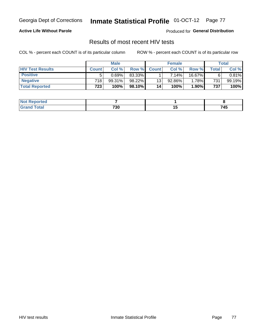#### **Active Life Without Parole**

Produced for **General Distribution**

## Results of most recent HIV tests

|                         | <b>Male</b>      |        |         | <b>Female</b> |           |          | Total       |           |
|-------------------------|------------------|--------|---------|---------------|-----------|----------|-------------|-----------|
| <b>HIV Test Results</b> | <b>Count</b>     | Col %  | Row %I  | <b>Count</b>  | Col%      | Row %    | $\tau$ otal | Col %     |
| <b>Positive</b>         | 5                | 0.69%  | 83.33%  |               | $7.14\%$  | 16.67%   | 6           | $0.81\%$  |
| <b>Negative</b>         | 718              | 99.31% | 98.22%  | 13            | $92.86\%$ | 1.78%    | 731         | $99.19\%$ |
| <b>Total Reported</b>   | 723 <sub>1</sub> | 100%   | 98.10%I | 14            | 100%      | $1.90\%$ | 737         | 100%      |

| ported<br><b>NOT</b> |                                |                          |     |
|----------------------|--------------------------------|--------------------------|-----|
| <b>otal</b><br>----  | 730<br>$\cdot$ $\cdot$ $\cdot$ | $\overline{\phantom{a}}$ | 745 |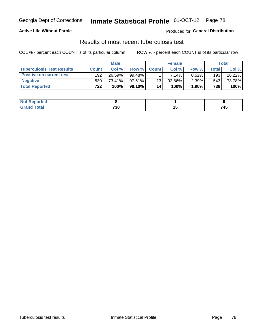### **Active Life Without Parole**

Produced for **General Distribution**

## Results of most recent tuberculosis test

|                                  |              | <b>Male</b> |           |              | <b>Female</b> |          |       | Total  |
|----------------------------------|--------------|-------------|-----------|--------------|---------------|----------|-------|--------|
| <b>Tuberculosis Test Results</b> | <b>Count</b> | Col%        | Row %I    | <b>Count</b> | Col%          | Row %    | Total | Col %  |
| <b>Positive on current test</b>  | 192          | 26.59%      | $99.48\%$ |              | 7.14%         | 0.52%    | 193   | 26.22% |
| <b>Negative</b>                  | 530          | 73.41%      | $97.61\%$ | 13           | $92.86\%$     | $2.39\%$ | 543   | 73.78% |
| <b>Total Reported</b>            | 722          | 100%        | 98.10% I  | 14           | 100%          | $1.90\%$ | 736   | 100%   |

| ported<br>NOT. |     |        |        |
|----------------|-----|--------|--------|
| <b>otal</b>    | 730 | $\sim$ | 745    |
| $\sim$         | __  |        | $\sim$ |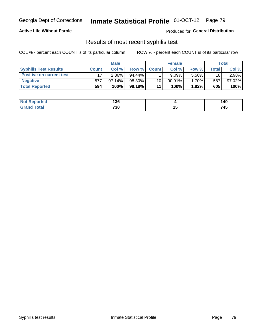### **Active Life Without Parole**

Produced for **General Distribution**

## Results of most recent syphilis test

|                                 | <b>Male</b>  |           |           | <b>Female</b> |           |        | Total |        |
|---------------------------------|--------------|-----------|-----------|---------------|-----------|--------|-------|--------|
| <b>Syphilis Test Results</b>    | <b>Count</b> | Col %     | Row %     | <b>Count</b>  | Col %     | Row %I | Total | Col %  |
| <b>Positive on current test</b> |              | 2.86%     | $94.44\%$ |               | 9.09%     | 5.56%  | 18    | 2.98%  |
| <b>Negative</b>                 | 577          | $97.14\%$ | 98.30%    | 10            | $90.91\%$ | 1.70%  | 587   | 97.02% |
| <b>Total Reported</b>           | 594          | 100%      | 98.18%I   | 11            | 100%      | 1.82%  | 605   | 100%   |

| <b>Not Reported</b> | 136 |        | 140           |
|---------------------|-----|--------|---------------|
| <b>Total</b>        | 730 | $\sim$ | 74F<br>$\sim$ |